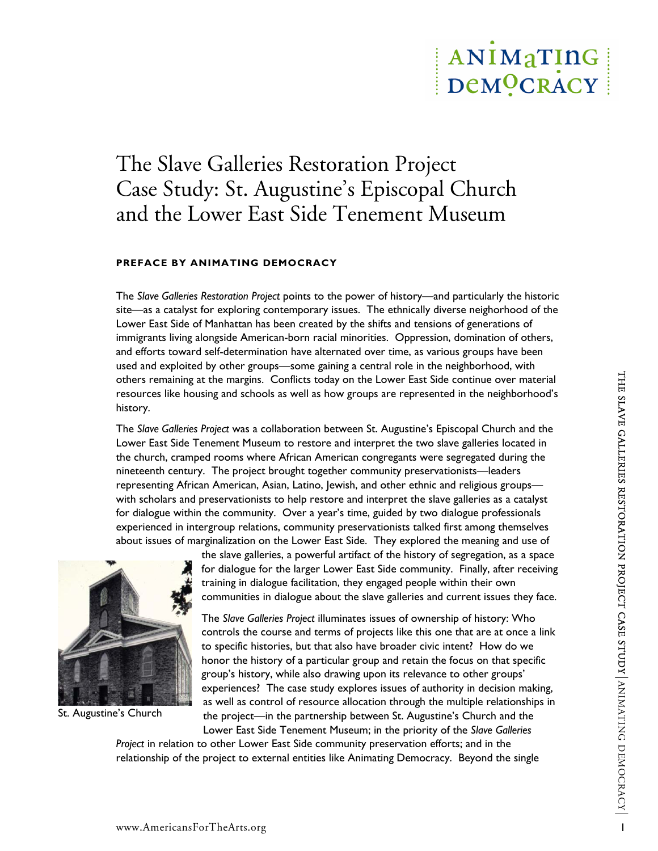# ANIMATING DeMOCRACY

# The Slave Galleries Restoration Project Case Study: St. Augustine's Episcopal Church and the Lower East Side Tenement Museum

# **PREFACE BY ANIMATING DEMOCRACY**

The *Slave Galleries Restoration Project* points to the power of history—and particularly the historic site—as a catalyst for exploring contemporary issues. The ethnically diverse neighorhood of the Lower East Side of Manhattan has been created by the shifts and tensions of generations of immigrants living alongside American-born racial minorities. Oppression, domination of others, and efforts toward self-determination have alternated over time, as various groups have been used and exploited by other groups—some gaining a central role in the neighborhood, with others remaining at the margins. Conflicts today on the Lower East Side continue over material resources like housing and schools as well as how groups are represented in the neighborhood's history.

of the formula particles conflicts today on the Lower East Side continue over material<br>
The Slave Golleins Project was a collaboration between St. Augustine's Biscopy and the both and the church and the<br>
clower East Side T The *Slave Galleries Project* was a collaboration between St. Augustine's Episcopal Church and the Lower East Side Tenement Museum to restore and interpret the two slave galleries located in the church, cramped rooms where African American congregants were segregated during the nineteenth century. The project brought together community preservationists—leaders representing African American, Asian, Latino, Jewish, and other ethnic and religious groups with scholars and preservationists to help restore and interpret the slave galleries as a catalyst for dialogue within the community. Over a year's time, guided by two dialogue professionals experienced in intergroup relations, community preservationists talked first among themselves about issues of marginalization on the Lower East Side. They explored the meaning and use of



St. Augustine's Church

the slave galleries, a powerful artifact of the history of segregation, as a space for dialogue for the larger Lower East Side community. Finally, after receiving training in dialogue facilitation, they engaged people within their own communities in dialogue about the slave galleries and current issues they face.

The *Slave Galleries Project* illuminates issues of ownership of history: Who controls the course and terms of projects like this one that are at once a link to specific histories, but that also have broader civic intent? How do we honor the history of a particular group and retain the focus on that specific group's history, while also drawing upon its relevance to other groups' experiences? The case study explores issues of authority in decision making, as well as control of resource allocation through the multiple relationships in the project—in the partnership between St. Augustine's Church and the Lower East Side Tenement Museum; in the priority of the *Slave Galleries* 

*Project* in relation to other Lower East Side community preservation efforts; and in the relationship of the project to external entities like Animating Democracy. Beyond the single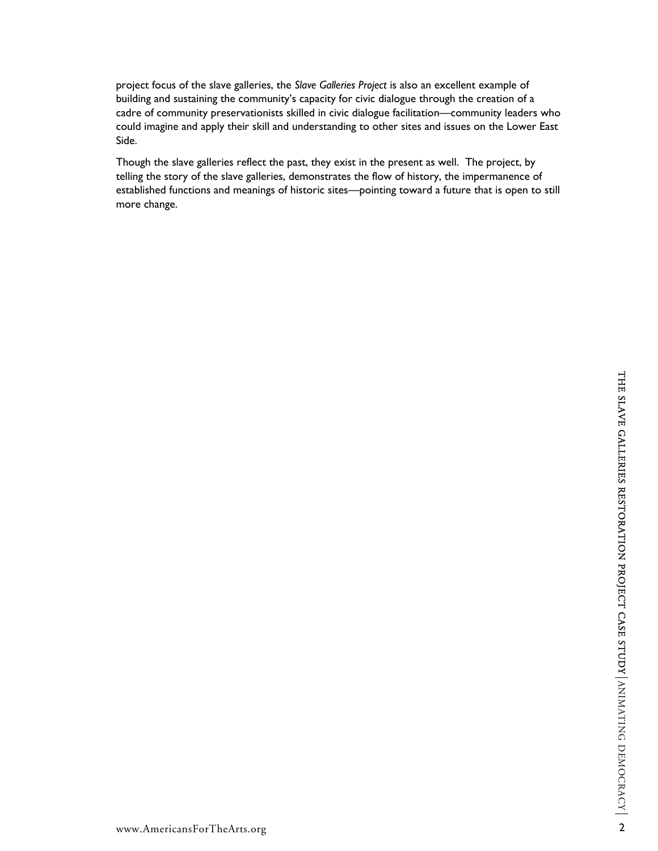project focus of the slave galleries, the *Slave Galleries Project* is also an excellent example of building and sustaining the community's capacity for civic dialogue through the creation of a cadre of community preservationists skilled in civic dialogue facilitation—community leaders who could imagine and apply their skill and understanding to other sites and issues on the Lower East Side.

Though the slave galleries reflect the past, they exist in the present as well. The project, by telling the story of the slave galleries, demonstrates the flow of history, the impermanence of established functions and meanings of historic sites—pointing toward a future that is open to still more change.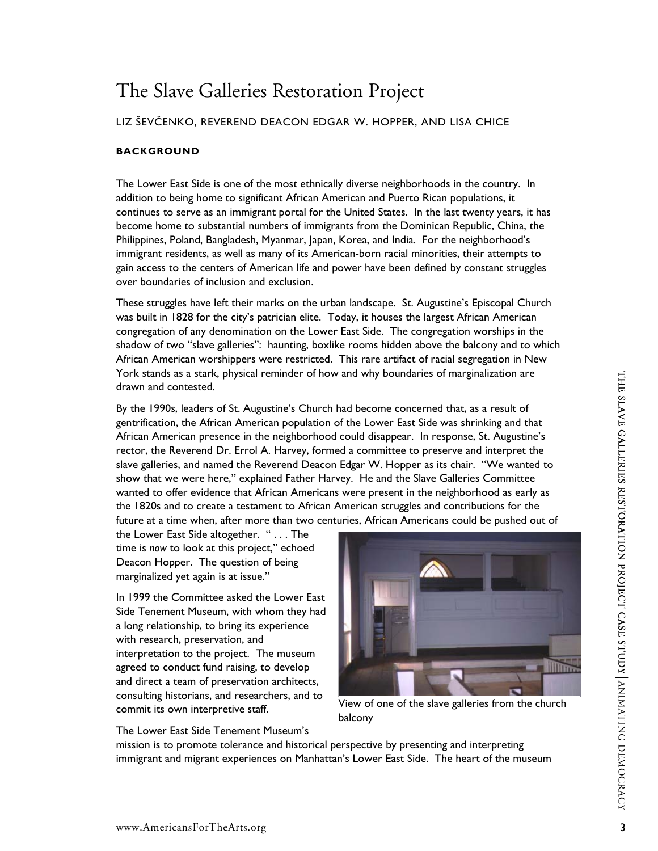# The Slave Galleries Restoration Project

# LIZ ŠEVČENKO, REVEREND DEACON EDGAR W. HOPPER, AND LISA CHICE

# **BACKGROUND**

The Lower East Side is one of the most ethnically diverse neighborhoods in the country. In addition to being home to significant African American and Puerto Rican populations, it continues to serve as an immigrant portal for the United States. In the last twenty years, it has become home to substantial numbers of immigrants from the Dominican Republic, China, the Philippines, Poland, Bangladesh, Myanmar, Japan, Korea, and India. For the neighborhood's immigrant residents, as well as many of its American-born racial minorities, their attempts to gain access to the centers of American life and power have been defined by constant struggles over boundaries of inclusion and exclusion.

These struggles have left their marks on the urban landscape. St. Augustine's Episcopal Church was built in 1828 for the city's patrician elite. Today, it houses the largest African American congregation of any denomination on the Lower East Side. The congregation worships in the shadow of two "slave galleries": haunting, boxlike rooms hidden above the balcony and to which African American worshippers were restricted. This rare artifact of racial segregation in New York stands as a stark, physical reminder of how and why boundaries of marginalization are drawn and contested.

Torix stands as a stark, physical reminder of now and willy boundaries of marginalization are<br>By the 1990s, leaders of St. Augustine's Church had become concerned that, as a result of<br>By the 1990s, leaders of St. Augustine By the 1990s, leaders of St. Augustine's Church had become concerned that, as a result of gentrification, the African American population of the Lower East Side was shrinking and that African American presence in the neighborhood could disappear. In response, St. Augustine's rector, the Reverend Dr. Errol A. Harvey, formed a committee to preserve and interpret the slave galleries, and named the Reverend Deacon Edgar W. Hopper as its chair. "We wanted to show that we were here," explained Father Harvey. He and the Slave Galleries Committee wanted to offer evidence that African Americans were present in the neighborhood as early as the 1820s and to create a testament to African American struggles and contributions for the future at a time when, after more than two centuries, African Americans could be pushed out of

the Lower East Side altogether. " . . . The time is *now* to look at this project," echoed Deacon Hopper. The question of being marginalized yet again is at issue."

In 1999 the Committee asked the Lower East Side Tenement Museum, with whom they had a long relationship, to bring its experience with research, preservation, and interpretation to the project. The museum agreed to conduct fund raising, to develop and direct a team of preservation architects, consulting historians, and researchers, and to commit its own interpretive staff.

The Lower East Side Tenement Museum's



View of one of the slave galleries from the church balcony

mission is to promote tolerance and historical perspective by presenting and interpreting immigrant and migrant experiences on Manhattan's Lower East Side. The heart of the museum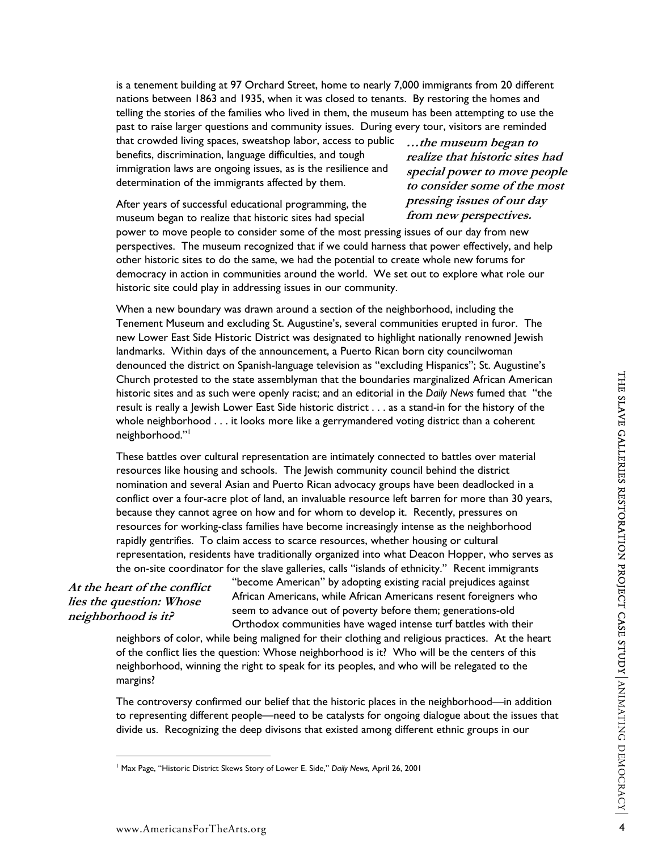is a tenement building at 97 Orchard Street, home to nearly 7,000 immigrants from 20 different nations between 1863 and 1935, when it was closed to tenants. By restoring the homes and telling the stories of the families who lived in them, the museum has been attempting to use the past to raise larger questions and community issues. During every tour, visitors are reminded

that crowded living spaces, sweatshop labor, access to public benefits, discrimination, language difficulties, and tough immigration laws are ongoing issues, as is the resilience and determination of the immigrants affected by them.

**…the museum began to realize that historic sites had special power to move people to consider some of the most pressing issues of our day from new perspectives.**

After years of successful educational programming, the museum began to realize that historic sites had special

power to move people to consider some of the most pressing issues of our day from new perspectives. The museum recognized that if we could harness that power effectively, and help other historic sites to do the same, we had the potential to create whole new forums for democracy in action in communities around the world. We set out to explore what role our historic site could play in addressing issues in our community.

When a new boundary was drawn around a section of the neighborhood, including the Tenement Museum and excluding St. Augustine's, several communities erupted in furor. The new Lower East Side Historic District was designated to highlight nationally renowned Jewish landmarks. Within days of the announcement, a Puerto Rican born city councilwoman denounced the district on Spanish-language television as "excluding Hispanics"; St. Augustine's Church protested to the state assemblyman that the boundaries marginalized African American historic sites and as such were openly racist; and an editorial in the *Daily News* fumed that "the result is really a Jewish Lower East Side historic district . . . as a stand-in for the history of the whole neighborhood . . . it looks more like a gerrymandered voting district than a coherent neighborhood."<sup>1</sup>

Church protested to the state sasembly<br>materix becomes the state sasembly and the both News American American<br>Fistoric sites  $\frac{900}{4}$  which lower Eart Side historic district... as a stand-in for the history of the<br>expl These battles over cultural representation are intimately connected to battles over material resources like housing and schools. The Jewish community council behind the district nomination and several Asian and Puerto Rican advocacy groups have been deadlocked in a conflict over a four-acre plot of land, an invaluable resource left barren for more than 30 years, because they cannot agree on how and for whom to develop it. Recently, pressures on resources for working-class families have become increasingly intense as the neighborhood rapidly gentrifies. To claim access to scarce resources, whether housing or cultural representation, residents have traditionally organized into what Deacon Hopper, who serves as the on-site coordinator for the slave galleries, calls "islands of ethnicity." Recent immigrants

**At the heart of the conflict lies the question: Whose neighborhood is it?** 

 $\overline{a}$ 

"become American" by adopting existing racial prejudices against African Americans, while African Americans resent foreigners who seem to advance out of poverty before them; generations-old Orthodox communities have waged intense turf battles with their

neighbors of color, while being maligned for their clothing and religious practices. At the heart of the conflict lies the question: Whose neighborhood is it? Who will be the centers of this neighborhood, winning the right to speak for its peoples, and who will be relegated to the margins?

The controversy confirmed our belief that the historic places in the neighborhood—in addition to representing different people—need to be catalysts for ongoing dialogue about the issues that divide us. Recognizing the deep divisons that existed among different ethnic groups in our

<sup>1</sup> Max Page, "Historic District Skews Story of Lower E. Side," *Daily News,* April 26, 2001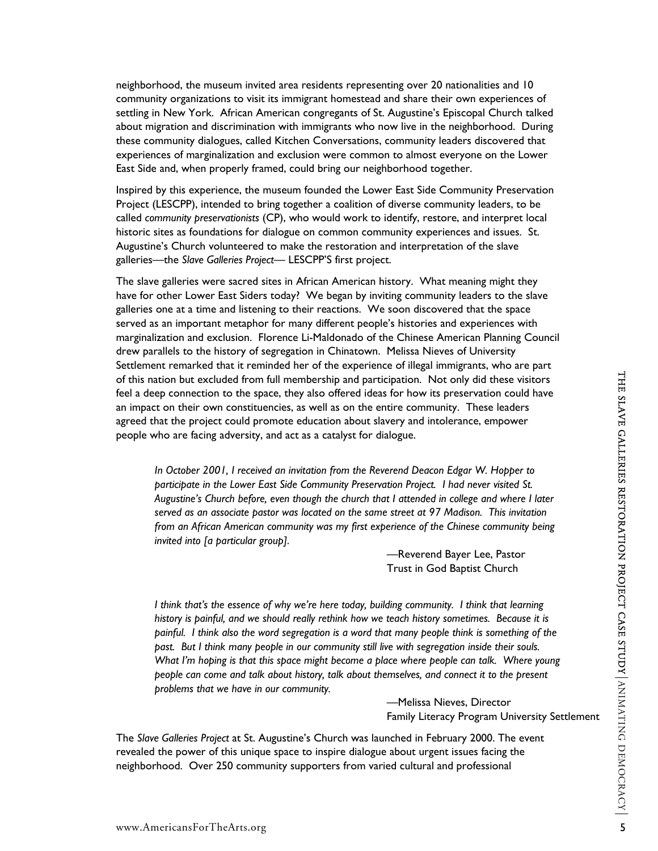neighborhood, the museum invited area residents representing over 20 nationalities and 10 community organizations to visit its immigrant homestead and share their own experiences of settling in New York. African American congregants of St. Augustine's Episcopal Church talked about migration and discrimination with immigrants who now live in the neighborhood. During these community dialogues, called Kitchen Conversations, community leaders discovered that experiences of marginalization and exclusion were common to almost everyone on the Lower East Side and, when properly framed, could bring our neighborhood together.

Inspired by this experience, the museum founded the Lower East Side Community Preservation Project (LESCPP), intended to bring together a coalition of diverse community leaders, to be called *community preservationists* (CP), who would work to identify, restore, and interpret local historic sites as foundations for dialogue on common community experiences and issues. St. Augustine's Church volunteered to make the restoration and interpretation of the slave galleries—the *Slave Galleries Project—* LESCPP'S first project.

The slave galleries were sacred sites in African American history. What meaning might they have for other Lower East Siders today? We began by inviting community leaders to the slave galleries one at a time and listening to their reactions. We soon discovered that the space served as an important metaphor for many different people's histories and experiences with marginalization and exclusion. Florence Li-Maldonado of the Chinese American Planning Council drew parallels to the history of segregation in Chinatown. Melissa Nieves of University Settlement remarked that it reminded her of the experience of illegal immigrants, who are part of this nation but excluded from full membership and participation. Not only did these visitors feel a deep connection to the space, they also offered ideas for how its preservation could have an impact on their own constituencies, as well as on the entire community. These leaders agreed that the project could promote education about slavery and intolerance, empower people who are facing adversity, and act as a catalyst for dialogue.

*In October 2001, I received an invitation from the Reverend Deacon Edgar W. Hopper to participate in the Lower East Side Community Preservation Project. I had never visited St. Augustine's Church before, even though the church that I attended in college and where I later served as an associate pastor was located on the same street at 97 Madison. This invitation from an African American community was my first experience of the Chinese community being invited into [a particular group].* 

> —Reverend Bayer Lee, Pastor Trust in God Baptist Church

of this nation between this membership and participation. Not only did these valions of the Slave Constituence of the species content of the species of the species of the species of the species of the species of the speci *I think that's the essence of why we're here today, building community. I think that learning history is painful, and we should really rethink how we teach history sometimes. Because it is painful. I think also the word segregation is a word that many people think is something of the past. But I think many people in our community still live with segregation inside their souls.*  What I'm hoping is that this space might become a place where people can talk. Where young *people can come and talk about history, talk about themselves, and connect it to the present problems that we have in our community.* 

—Melissa Nieves, Director Family Literacy Program University Settlement

The *Slave Galleries Project* at St. Augustine's Church was launched in February 2000. The event revealed the power of this unique space to inspire dialogue about urgent issues facing the neighborhood. Over 250 community supporters from varied cultural and professional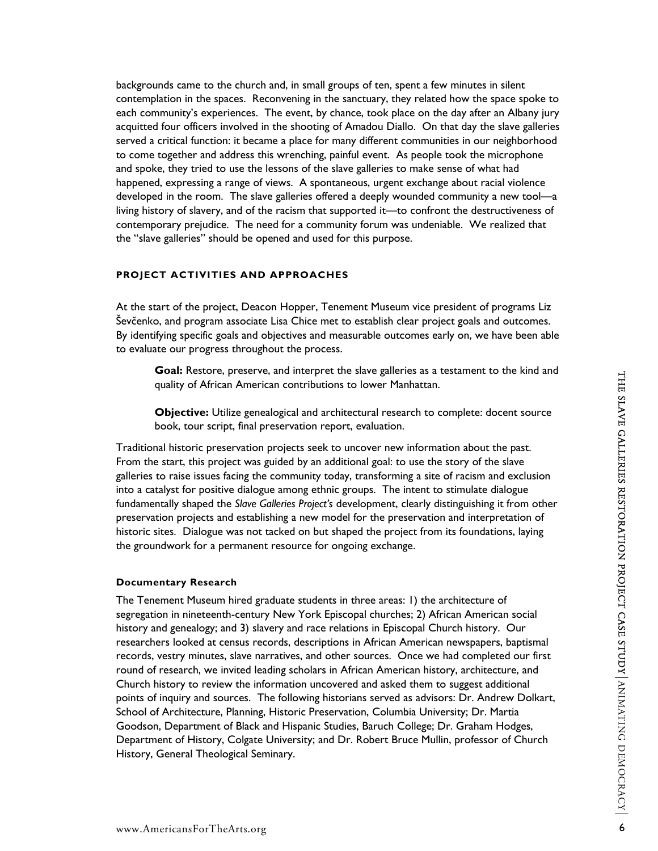backgrounds came to the church and, in small groups of ten, spent a few minutes in silent contemplation in the spaces. Reconvening in the sanctuary, they related how the space spoke to each community's experiences. The event, by chance, took place on the day after an Albany jury acquitted four officers involved in the shooting of Amadou Diallo. On that day the slave galleries served a critical function: it became a place for many different communities in our neighborhood to come together and address this wrenching, painful event. As people took the microphone and spoke, they tried to use the lessons of the slave galleries to make sense of what had happened, expressing a range of views. A spontaneous, urgent exchange about racial violence developed in the room. The slave galleries offered a deeply wounded community a new tool—a living history of slavery, and of the racism that supported it—to confront the destructiveness of contemporary prejudice. The need for a community forum was undeniable. We realized that the "slave galleries" should be opened and used for this purpose.

# **PROJECT ACTIVITIES AND APPROACHES**

At the start of the project, Deacon Hopper, Tenement Museum vice president of programs Liz Ševčenko, and program associate Lisa Chice met to establish clear project goals and outcomes. By identifying specific goals and objectives and measurable outcomes early on, we have been able to evaluate our progress throughout the process.

**Goal:** Restore, preserve, and interpret the slave galleries as a testament to the kind and quality of African American contributions to lower Manhattan.

**Objective:** Utilize genealogical and architectural research to complete: docent source book, tour script, final preservation report, evaluation.

Traditional historic preservation projects seek to uncover new information about the past. From the start, this project was guided by an additional goal: to use the story of the slave galleries to raise issues facing the community today, transforming a site of racism and exclusion into a catalyst for positive dialogue among ethnic groups. The intent to stimulate dialogue fundamentally shaped the *Slave Galleries Project's* development, clearly distinguishing it from other preservation projects and establishing a new model for the preservation and interpretation of historic sites. Dialogue was not tacked on but shaped the project from its foundations, laying the groundwork for a permanent resource for ongoing exchange.

# **Documentary Research**

**State the Constrainer of the state is an example to the state game the same of the state and the state and the state game of the state and the state and the state and the state of the state is the state of the state in t** The Tenement Museum hired graduate students in three areas: 1) the architecture of segregation in nineteenth-century New York Episcopal churches; 2) African American social history and genealogy; and 3) slavery and race relations in Episcopal Church history. Our researchers looked at census records, descriptions in African American newspapers, baptismal records, vestry minutes, slave narratives, and other sources. Once we had completed our first round of research, we invited leading scholars in African American history, architecture, and Church history to review the information uncovered and asked them to suggest additional points of inquiry and sources. The following historians served as advisors: Dr. Andrew Dolkart, School of Architecture, Planning, Historic Preservation, Columbia University; Dr. Martia Goodson, Department of Black and Hispanic Studies, Baruch College; Dr. Graham Hodges, Department of History, Colgate University; and Dr. Robert Bruce Mullin, professor of Church History, General Theological Seminary.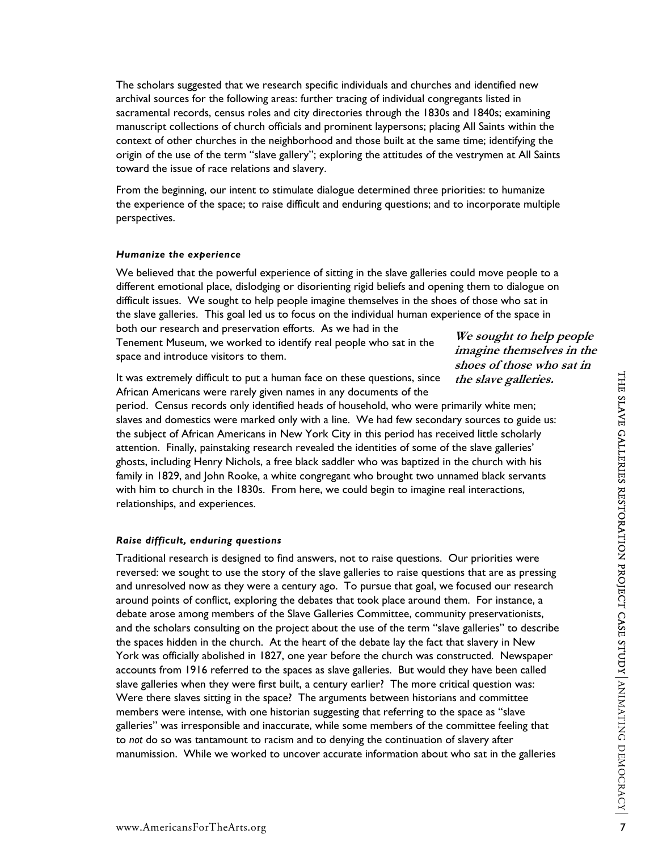The scholars suggested that we research specific individuals and churches and identified new archival sources for the following areas: further tracing of individual congregants listed in sacramental records, census roles and city directories through the 1830s and 1840s; examining manuscript collections of church officials and prominent laypersons; placing All Saints within the context of other churches in the neighborhood and those built at the same time; identifying the origin of the use of the term "slave gallery"; exploring the attitudes of the vestrymen at All Saints toward the issue of race relations and slavery.

From the beginning, our intent to stimulate dialogue determined three priorities: to humanize the experience of the space; to raise difficult and enduring questions; and to incorporate multiple perspectives.

### *Humanize the experience*

We believed that the powerful experience of sitting in the slave galleries could move people to a different emotional place, dislodging or disorienting rigid beliefs and opening them to dialogue on difficult issues. We sought to help people imagine themselves in the shoes of those who sat in the slave galleries. This goal led us to focus on the individual human experience of the space in both our research and preservation efforts. As we had in the

Tenement Museum, we worked to identify real people who sat in the space and introduce visitors to them.

It was extremely difficult to put a human face on these questions, since African Americans were rarely given names in any documents of the

**We sought to help people imagine themselves in the shoes of those who sat in the slave galleries.** 

period. Census records only identified heads of household, who were primarily white men; slaves and domestics were marked only with a line. We had few secondary sources to guide us: the subject of African Americans in New York City in this period has received little scholarly attention. Finally, painstaking research revealed the identities of some of the slave galleries' ghosts, including Henry Nichols, a free black saddler who was baptized in the church with his family in 1829, and John Rooke, a white congregant who brought two unnamed black servants with him to church in the 1830s. From here, we could begin to imagine real interactions, relationships, and experiences.

#### *Raise difficult, enduring questions*

It was extremely difficult to put a human face on these questions, since the slatre galleries.<br>
African Americans records only identified heads of housebold, who were primarily white men;<br>
she subject of African Americans Traditional research is designed to find answers, not to raise questions. Our priorities were reversed: we sought to use the story of the slave galleries to raise questions that are as pressing and unresolved now as they were a century ago. To pursue that goal, we focused our research around points of conflict, exploring the debates that took place around them. For instance, a debate arose among members of the Slave Galleries Committee, community preservationists, and the scholars consulting on the project about the use of the term "slave galleries" to describe the spaces hidden in the church. At the heart of the debate lay the fact that slavery in New York was officially abolished in 1827, one year before the church was constructed. Newspaper accounts from 1916 referred to the spaces as slave galleries. But would they have been called slave galleries when they were first built, a century earlier? The more critical question was: Were there slaves sitting in the space? The arguments between historians and committee members were intense, with one historian suggesting that referring to the space as "slave galleries" was irresponsible and inaccurate, while some members of the committee feeling that to *not* do so was tantamount to racism and to denying the continuation of slavery after manumission. While we worked to uncover accurate information about who sat in the galleries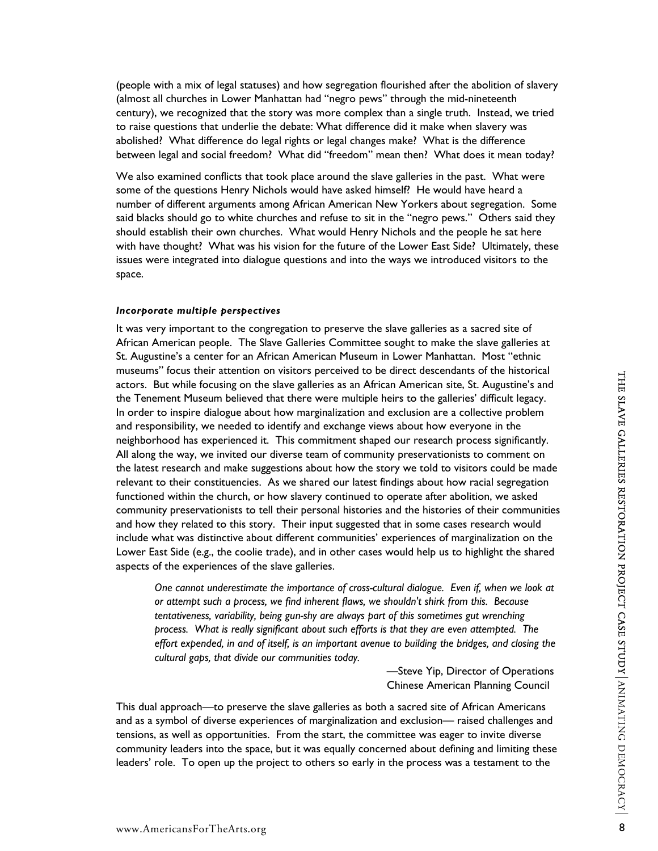(people with a mix of legal statuses) and how segregation flourished after the abolition of slavery (almost all churches in Lower Manhattan had "negro pews" through the mid-nineteenth century), we recognized that the story was more complex than a single truth. Instead, we tried to raise questions that underlie the debate: What difference did it make when slavery was abolished? What difference do legal rights or legal changes make? What is the difference between legal and social freedom? What did "freedom" mean then? What does it mean today?

We also examined conflicts that took place around the slave galleries in the past. What were some of the questions Henry Nichols would have asked himself? He would have heard a number of different arguments among African American New Yorkers about segregation. Some said blacks should go to white churches and refuse to sit in the "negro pews." Others said they should establish their own churches. What would Henry Nichols and the people he sat here with have thought? What was his vision for the future of the Lower East Side? Ultimately, these issues were integrated into dialogue questions and into the ways we introduced visitors to the space.

### *Incorporate multiple perspectives*

where locations the experience of the same preserves of the same of the measure of the measure of the same of the state of the state of the state of the state of the state of the state of the state of the state of the sta It was very important to the congregation to preserve the slave galleries as a sacred site of African American people. The Slave Galleries Committee sought to make the slave galleries at St. Augustine's a center for an African American Museum in Lower Manhattan. Most "ethnic museums" focus their attention on visitors perceived to be direct descendants of the historical actors. But while focusing on the slave galleries as an African American site, St. Augustine's and the Tenement Museum believed that there were multiple heirs to the galleries' difficult legacy. In order to inspire dialogue about how marginalization and exclusion are a collective problem and responsibility, we needed to identify and exchange views about how everyone in the neighborhood has experienced it. This commitment shaped our research process significantly. All along the way, we invited our diverse team of community preservationists to comment on the latest research and make suggestions about how the story we told to visitors could be made relevant to their constituencies. As we shared our latest findings about how racial segregation functioned within the church, or how slavery continued to operate after abolition, we asked community preservationists to tell their personal histories and the histories of their communities and how they related to this story. Their input suggested that in some cases research would include what was distinctive about different communities' experiences of marginalization on the Lower East Side (e.g., the coolie trade), and in other cases would help us to highlight the shared aspects of the experiences of the slave galleries.

*One cannot underestimate the importance of cross-cultural dialogue. Even if, when we look at or attempt such a process, we find inherent flaws, we shouldn't shirk from this. Because tentativeness, variability, being gun-shy are always part of this sometimes gut wrenching process. What is really significant about such efforts is that they are even attempted. The effort expended, in and of itself, is an important avenue to building the bridges, and closing the cultural gaps, that divide our communities today.* 

> —Steve Yip, Director of Operations Chinese American Planning Council

This dual approach—to preserve the slave galleries as both a sacred site of African Americans and as a symbol of diverse experiences of marginalization and exclusion— raised challenges and tensions, as well as opportunities. From the start, the committee was eager to invite diverse community leaders into the space, but it was equally concerned about defining and limiting these leaders' role. To open up the project to others so early in the process was a testament to the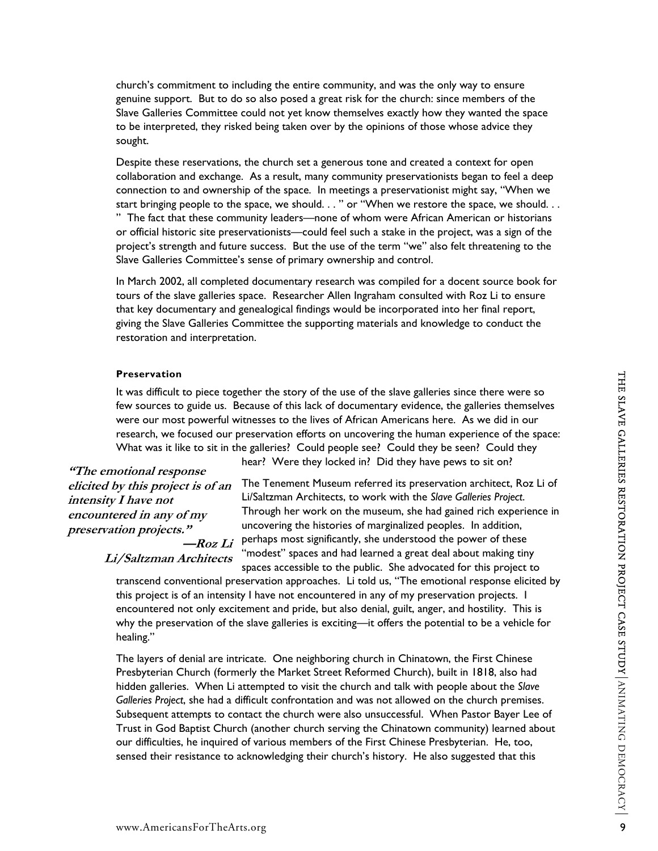church's commitment to including the entire community, and was the only way to ensure genuine support. But to do so also posed a great risk for the church: since members of the Slave Galleries Committee could not yet know themselves exactly how they wanted the space to be interpreted, they risked being taken over by the opinions of those whose advice they sought.

Despite these reservations, the church set a generous tone and created a context for open collaboration and exchange. As a result, many community preservationists began to feel a deep connection to and ownership of the space. In meetings a preservationist might say, "When we start bringing people to the space, we should. . . " or "When we restore the space, we should. . . " The fact that these community leaders—none of whom were African American or historians or official historic site preservationists—could feel such a stake in the project, was a sign of the project's strength and future success. But the use of the term "we" also felt threatening to the Slave Galleries Committee's sense of primary ownership and control.

In March 2002, all completed documentary research was compiled for a docent source book for tours of the slave galleries space. Researcher Allen Ingraham consulted with Roz Li to ensure that key documentary and genealogical findings would be incorporated into her final report, giving the Slave Galleries Committee the supporting materials and knowledge to conduct the restoration and interpretation.

#### **Preservation**

It was difficult to piece together the story of the use of the slave galleries since there were so few sources to guide us. Because of this lack of documentary evidence, the galleries themselves were our most powerful witnesses to the lives of African Americans here. As we did in our research, we focused our preservation efforts on uncovering the human experience of the space: What was it like to sit in the galleries? Could people see? Could they be seen? Could they

**"The emotional response elicited by this project is of an intensity I have not encountered in any of my preservation projects." —Roz Li**

The Tenement Museum referred its preservation architect, Roz Li of Li/Saltzman Architects, to work with the *Slave Galleries Project*. Through her work on the museum, she had gained rich experience in uncovering the histories of marginalized peoples. In addition, perhaps most significantly, she understood the power of these "modest" spaces and had learned a great deal about making tiny

hear? Were they locked in? Did they have pews to sit on?

**Li/Saltzman Architects** 

spaces accessible to the public. She advocated for this project to transcend conventional preservation approaches. Li told us, "The emotional response elicited by this project is of an intensity I have not encountered in any of my preservation projects. I encountered not only excitement and pride, but also denial, guilt, anger, and hostility. This is why the preservation of the slave galleries is exciting—it offers the potential to be a vehicle for healing."

**Preservation**<br> **EVALUATION** Direct operator the story of the use of the slave galleries since there were so<br>
flew sources to guide us. Because of this lack of documentary evidence, the galleries then<br>network over ear con The layers of denial are intricate. One neighboring church in Chinatown, the First Chinese Presbyterian Church (formerly the Market Street Reformed Church), built in 1818, also had hidden galleries. When Li attempted to visit the church and talk with people about the *Slave Galleries Project*, she had a difficult confrontation and was not allowed on the church premises. Subsequent attempts to contact the church were also unsuccessful. When Pastor Bayer Lee of Trust in God Baptist Church (another church serving the Chinatown community) learned about our difficulties, he inquired of various members of the First Chinese Presbyterian. He, too, sensed their resistance to acknowledging their church's history. He also suggested that this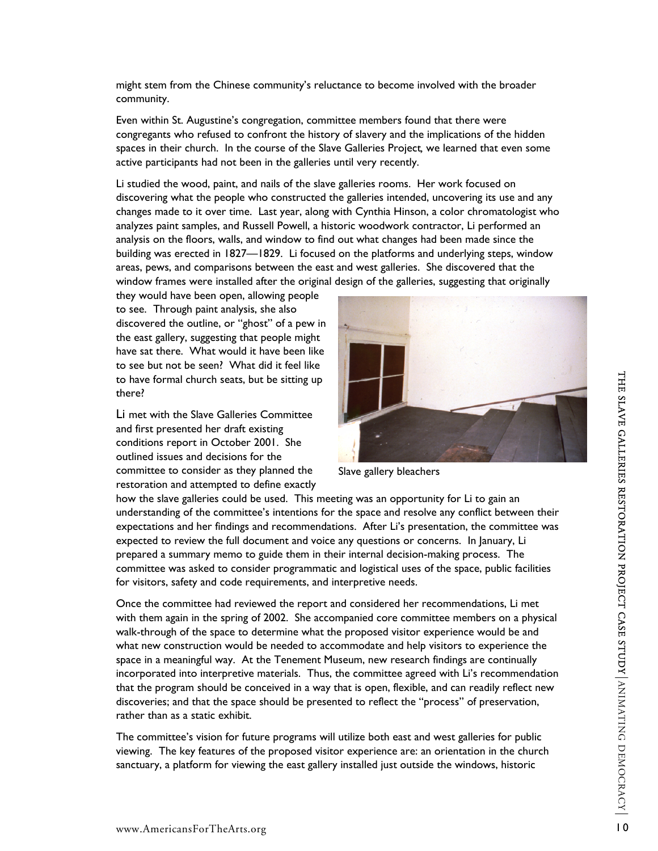might stem from the Chinese community's reluctance to become involved with the broader community.

Even within St. Augustine's congregation, committee members found that there were congregants who refused to confront the history of slavery and the implications of the hidden spaces in their church. In the course of the Slave Galleries Project*,* we learned that even some active participants had not been in the galleries until very recently.

Li studied the wood, paint, and nails of the slave galleries rooms. Her work focused on discovering what the people who constructed the galleries intended, uncovering its use and any changes made to it over time. Last year, along with Cynthia Hinson, a color chromatologist who analyzes paint samples, and Russell Powell, a historic woodwork contractor, Li performed an analysis on the floors, walls, and window to find out what changes had been made since the building was erected in 1827—1829. Li focused on the platforms and underlying steps, window areas, pews, and comparisons between the east and west galleries. She discovered that the window frames were installed after the original design of the galleries, suggesting that originally

they would have been open, allowing people to see. Through paint analysis, she also discovered the outline, or "ghost" of a pew in the east gallery, suggesting that people might have sat there. What would it have been like to see but not be seen? What did it feel like to have formal church seats, but be sitting up there?

Li met with the Slave Galleries Committee and first presented her draft existing conditions report in October 2001. She outlined issues and decisions for the committee to consider as they planned the restoration and attempted to define exactly



Slave gallery bleachers

how the slave galleries could be used. This meeting was an opportunity for Li to gain an understanding of the committee's intentions for the space and resolve any conflict between their expectations and her findings and recommendations. After Li's presentation, the committee was expected to review the full document and voice any questions or concerns. In January, Li prepared a summary memo to guide them in their internal decision-making process. The committee was asked to consider programmatic and logistical uses of the space, public facilities for visitors, safety and code requirements, and interpretive needs.

to have formal church seats, but be sitting up<br>
Limet with the Slave Galleries Committee<br>
conditions report in October 2001. She<br>
conditions report in October 2001. She<br>
committee to consider as they planed the<br>
committee Once the committee had reviewed the report and considered her recommendations, Li met with them again in the spring of 2002. She accompanied core committee members on a physical walk-through of the space to determine what the proposed visitor experience would be and what new construction would be needed to accommodate and help visitors to experience the space in a meaningful way. At the Tenement Museum, new research findings are continually incorporated into interpretive materials. Thus, the committee agreed with Li's recommendation that the program should be conceived in a way that is open, flexible, and can readily reflect new discoveries; and that the space should be presented to reflect the "process" of preservation, rather than as a static exhibit.

The committee's vision for future programs will utilize both east and west galleries for public viewing. The key features of the proposed visitor experience are: an orientation in the church sanctuary, a platform for viewing the east gallery installed just outside the windows, historic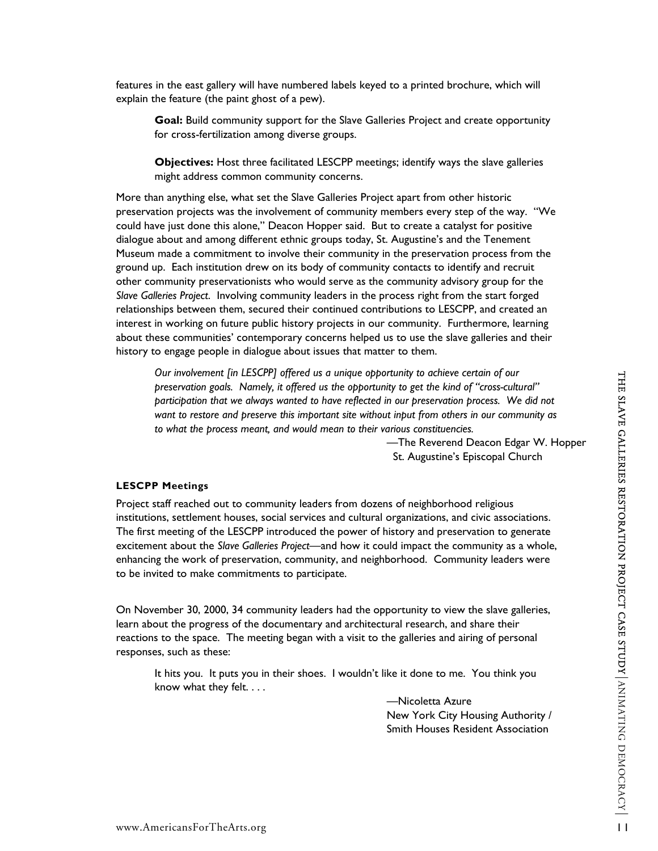features in the east gallery will have numbered labels keyed to a printed brochure, which will explain the feature (the paint ghost of a pew).

**Goal:** Build community support for the Slave Galleries Project and create opportunity for cross-fertilization among diverse groups.

**Objectives:** Host three facilitated LESCPP meetings; identify ways the slave galleries might address common community concerns.

More than anything else, what set the Slave Galleries Project apart from other historic preservation projects was the involvement of community members every step of the way. "We could have just done this alone," Deacon Hopper said. But to create a catalyst for positive dialogue about and among different ethnic groups today, St. Augustine's and the Tenement Museum made a commitment to involve their community in the preservation process from the ground up. Each institution drew on its body of community contacts to identify and recruit other community preservationists who would serve as the community advisory group for the *Slave Galleries Project*. Involving community leaders in the process right from the start forged relationships between them, secured their continued contributions to LESCPP, and created an interest in working on future public history projects in our community. Furthermore, learning about these communities' contemporary concerns helped us to use the slave galleries and their history to engage people in dialogue about issues that matter to them.

*Our involvement [in LESCPP] offered us a unique opportunity to achieve certain of our preservation goals. Namely, it offered us the opportunity to get the kind of "cross-cultural" participation that we always wanted to have reflected in our preservation process. We did not want to restore and preserve this important site without input from others in our community as to what the process meant, and would mean to their various constituencies.* 

> —The Reverend Deacon Edgar W. Hopper St. Augustine's Episcopal Church

### **LESCPP Meetings**

Unrinovement (in LESCAP) of the Control of one of the Control of the Control of the Control of the Control of the Control of the Control of the Control of the Control of the Control of the Control of the Control of the Co Project staff reached out to community leaders from dozens of neighborhood religious institutions, settlement houses, social services and cultural organizations, and civic associations. The first meeting of the LESCPP introduced the power of history and preservation to generate excitement about the *Slave Galleries Project*—and how it could impact the community as a whole, enhancing the work of preservation, community, and neighborhood. Community leaders were to be invited to make commitments to participate.

On November 30, 2000, 34 community leaders had the opportunity to view the slave galleries, learn about the progress of the documentary and architectural research, and share their reactions to the space. The meeting began with a visit to the galleries and airing of personal responses, such as these:

It hits you. It puts you in their shoes. I wouldn't like it done to me. You think you know what they felt. . . .

> —Nicoletta Azure New York City Housing Authority / Smith Houses Resident Association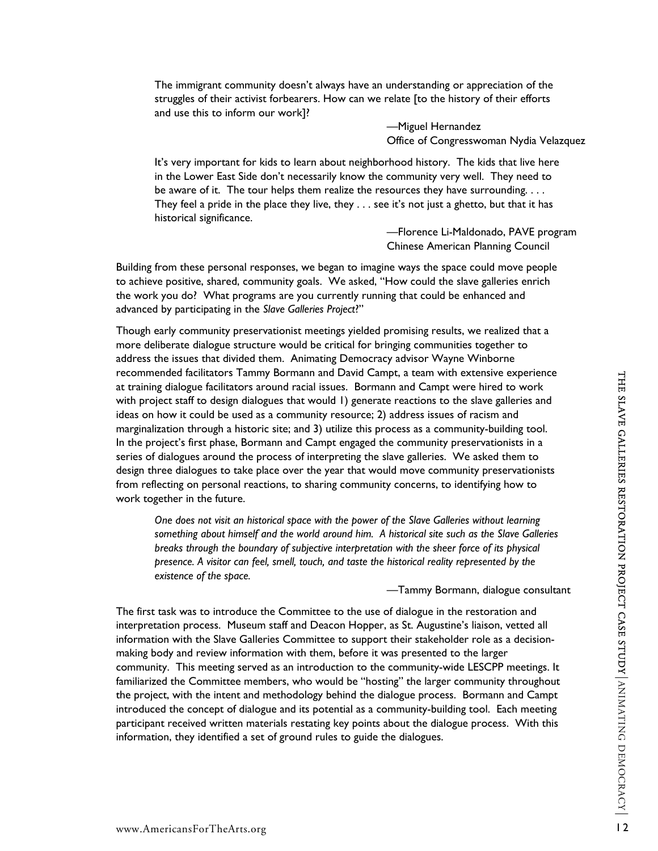The immigrant community doesn't always have an understanding or appreciation of the struggles of their activist forbearers. How can we relate [to the history of their efforts and use this to inform our work]?

> —Miguel Hernandez Office of Congresswoman Nydia Velazquez

It's very important for kids to learn about neighborhood history. The kids that live here in the Lower East Side don't necessarily know the community very well. They need to be aware of it. The tour helps them realize the resources they have surrounding. . . . They feel a pride in the place they live, they  $\dots$  see it's not just a ghetto, but that it has historical significance.

> —Florence Li-Maldonado, PAVE program Chinese American Planning Council

Building from these personal responses, we began to imagine ways the space could move people to achieve positive, shared, community goals. We asked, "How could the slave galleries enrich the work you do? What programs are you currently running that could be enhanced and advanced by participating in the *Slave Galleries Project*?"

Though early community preservationist meetings yielded promising results, we realized that a more deliberate dialogue structure would be critical for bringing communities together to address the issues that divided them. Animating Democracy advisor Wayne Winborne recommended facilitators Tammy Bormann and David Campt, a team with extensive experience at training dialogue facilitators around racial issues. Bormann and Campt were hired to work with project staff to design dialogues that would 1) generate reactions to the slave galleries and ideas on how it could be used as a community resource; 2) address issues of racism and marginalization through a historic site; and 3) utilize this process as a community-building tool. In the project's first phase, Bormann and Campt engaged the community preservationists in a series of dialogues around the process of interpreting the slave galleries. We asked them to design three dialogues to take place over the year that would move community preservationists from reflecting on personal reactions, to sharing community concerns, to identifying how to work together in the future.

*One does not visit an historical space with the power of the Slave Galleries without learning something about himself and the world around him. A historical site such as the Slave Galleries breaks through the boundary of subjective interpretation with the sheer force of its physical presence. A visitor can feel, smell, touch, and taste the historical reality represented by the existence of the space.* 

—Tammy Bormann, dialogue consultant

ercommented maturity sometimes and David Campi with extensive experiences<br>with project sarff to design dialogues fact would by generate reactions to the skine galleries and<br>ideas on how it could be used as a community reso The first task was to introduce the Committee to the use of dialogue in the restoration and interpretation process. Museum staff and Deacon Hopper, as St. Augustine's liaison, vetted all information with the Slave Galleries Committee to support their stakeholder role as a decisionmaking body and review information with them, before it was presented to the larger community. This meeting served as an introduction to the community-wide LESCPP meetings. It familiarized the Committee members, who would be "hosting" the larger community throughout the project, with the intent and methodology behind the dialogue process. Bormann and Campt introduced the concept of dialogue and its potential as a community-building tool. Each meeting participant received written materials restating key points about the dialogue process. With this information, they identified a set of ground rules to guide the dialogues.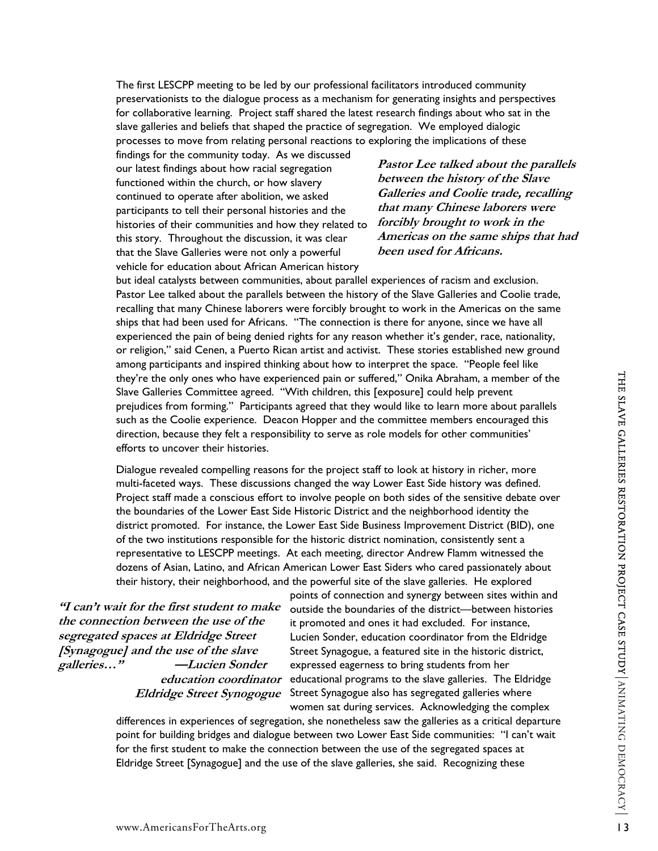The first LESCPP meeting to be led by our professional facilitators introduced community preservationists to the dialogue process as a mechanism for generating insights and perspectives for collaborative learning. Project staff shared the latest research findings about who sat in the slave galleries and beliefs that shaped the practice of segregation. We employed dialogic processes to move from relating personal reactions to exploring the implications of these

findings for the community today. As we discussed our latest findings about how racial segregation functioned within the church, or how slavery continued to operate after abolition, we asked participants to tell their personal histories and the histories of their communities and how they related to this story. Throughout the discussion, it was clear that the Slave Galleries were not only a powerful vehicle for education about African American history

**Pastor Lee talked about the parallels between the history of the Slave Galleries and Coolie trade, recalling that many Chinese laborers were forcibly brought to work in the Americas on the same ships that had been used for Africans.** 

but ideal catalysts between communities, about parallel experiences of racism and exclusion. Pastor Lee talked about the parallels between the history of the Slave Galleries and Coolie trade, recalling that many Chinese laborers were forcibly brought to work in the Americas on the same ships that had been used for Africans. "The connection is there for anyone, since we have all experienced the pain of being denied rights for any reason whether it's gender, race, nationality, or religion," said Cenen, a Puerto Rican artist and activist. These stories established new ground among participants and inspired thinking about how to interpret the space. "People feel like they're the only ones who have experienced pain or suffered," Onika Abraham, a member of the Slave Galleries Committee agreed. "With children, this [exposure] could help prevent prejudices from forming." Participants agreed that they would like to learn more about parallels such as the Coolie experience. Deacon Hopper and the committee members encouraged this direction, because they felt a responsibility to serve as role models for other communities' efforts to uncover their histories.

they re he only ones who we species complete the completion of suffice than a member of the Slave Galleries Crom forming." Participants agreed that they would like to learn more about parallels<br>such as the Coolie experienc Dialogue revealed compelling reasons for the project staff to look at history in richer, more multi-faceted ways. These discussions changed the way Lower East Side history was defined. Project staff made a conscious effort to involve people on both sides of the sensitive debate over the boundaries of the Lower East Side Historic District and the neighborhood identity the district promoted. For instance, the Lower East Side Business Improvement District (BID), one of the two institutions responsible for the historic district nomination, consistently sent a representative to LESCPP meetings. At each meeting, director Andrew Flamm witnessed the dozens of Asian, Latino, and African American Lower East Siders who cared passionately about their history, their neighborhood, and the powerful site of the slave galleries. He explored

**"I can't wait for the first student to make the connection between the use of the segregated spaces at Eldridge Street [Synagogue] and the use of the slave galleries…" —Lucien Sonder education coordinator** 

points of connection and synergy between sites within and outside the boundaries of the district—between histories it promoted and ones it had excluded. For instance, Lucien Sonder, education coordinator from the Eldridge Street Synagogue, a featured site in the historic district, expressed eagerness to bring students from her educational programs to the slave galleries. The Eldridge Eldridge Street Synogogue Street Synagogue also has segregated galleries where women sat during services. Acknowledging the complex

differences in experiences of segregation, she nonetheless saw the galleries as a critical departure point for building bridges and dialogue between two Lower East Side communities: "I can't wait for the first student to make the connection between the use of the segregated spaces at Eldridge Street [Synagogue] and the use of the slave galleries, she said. Recognizing these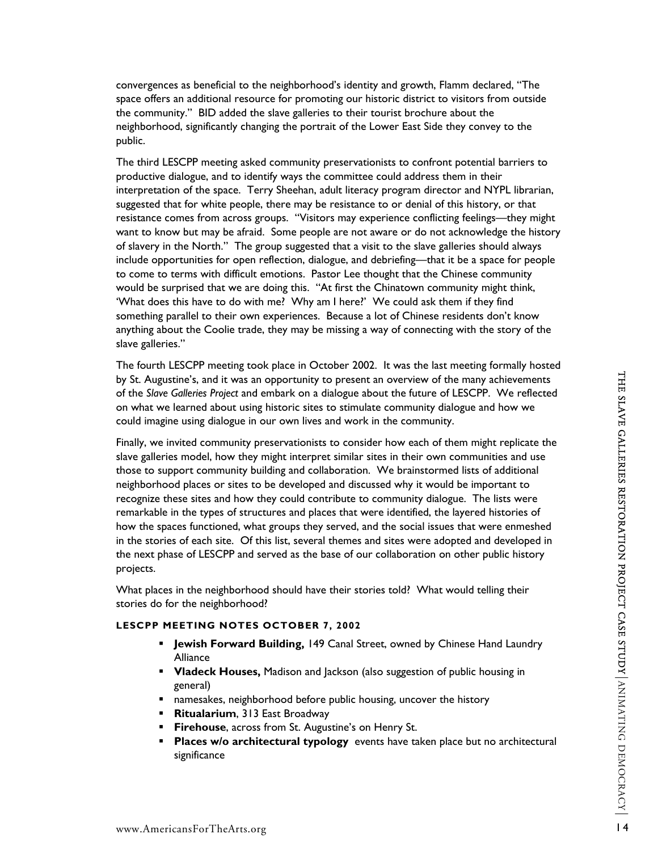convergences as beneficial to the neighborhood's identity and growth, Flamm declared, "The space offers an additional resource for promoting our historic district to visitors from outside the community." BID added the slave galleries to their tourist brochure about the neighborhood, significantly changing the portrait of the Lower East Side they convey to the public.

The third LESCPP meeting asked community preservationists to confront potential barriers to productive dialogue, and to identify ways the committee could address them in their interpretation of the space. Terry Sheehan, adult literacy program director and NYPL librarian, suggested that for white people, there may be resistance to or denial of this history, or that resistance comes from across groups. "Visitors may experience conflicting feelings—they might want to know but may be afraid. Some people are not aware or do not acknowledge the history of slavery in the North." The group suggested that a visit to the slave galleries should always include opportunities for open reflection, dialogue, and debriefing—that it be a space for people to come to terms with difficult emotions. Pastor Lee thought that the Chinese community would be surprised that we are doing this. "At first the Chinatown community might think, 'What does this have to do with me? Why am I here?' We could ask them if they find something parallel to their own experiences. Because a lot of Chinese residents don't know anything about the Coolie trade, they may be missing a way of connecting with the story of the slave galleries."

The fourth LESCPP meeting took place in October 2002. It was the last meeting formally hosted by St. Augustine's, and it was an opportunity to present an overview of the many achievements of the *Slave Galleries Project* and embark on a dialogue about the future of LESCPP. We reflected on what we learned about using historic sites to stimulate community dialogue and how we could imagine using dialogue in our own lives and work in the community.

by St. Augustines's, and it was an on portunity to present an owerwhere of the many achievements<br>of the Slove Galleries Project and embatk on a dialogue about the future of LESCPP. We reflected<br>could imagine using dialogu Finally, we invited community preservationists to consider how each of them might replicate the slave galleries model, how they might interpret similar sites in their own communities and use those to support community building and collaboration. We brainstormed lists of additional neighborhood places or sites to be developed and discussed why it would be important to recognize these sites and how they could contribute to community dialogue. The lists were remarkable in the types of structures and places that were identified, the layered histories of how the spaces functioned, what groups they served, and the social issues that were enmeshed in the stories of each site. Of this list, several themes and sites were adopted and developed in the next phase of LESCPP and served as the base of our collaboration on other public history projects.

What places in the neighborhood should have their stories told? What would telling their stories do for the neighborhood?

# **LESCPP MEETING NOTES OCTOBER 7, 2002**

- **Jewish Forward Building,** 149 Canal Street, owned by Chinese Hand Laundry Alliance
- **Vladeck Houses,** Madison and Jackson (also suggestion of public housing in general)
- **namesakes, neighborhood before public housing, uncover the history**
- **Ritualarium**, 313 East Broadway
- **Firehouse**, across from St. Augustine's on Henry St.
- **Places w/o architectural typology** events have taken place but no architectural significance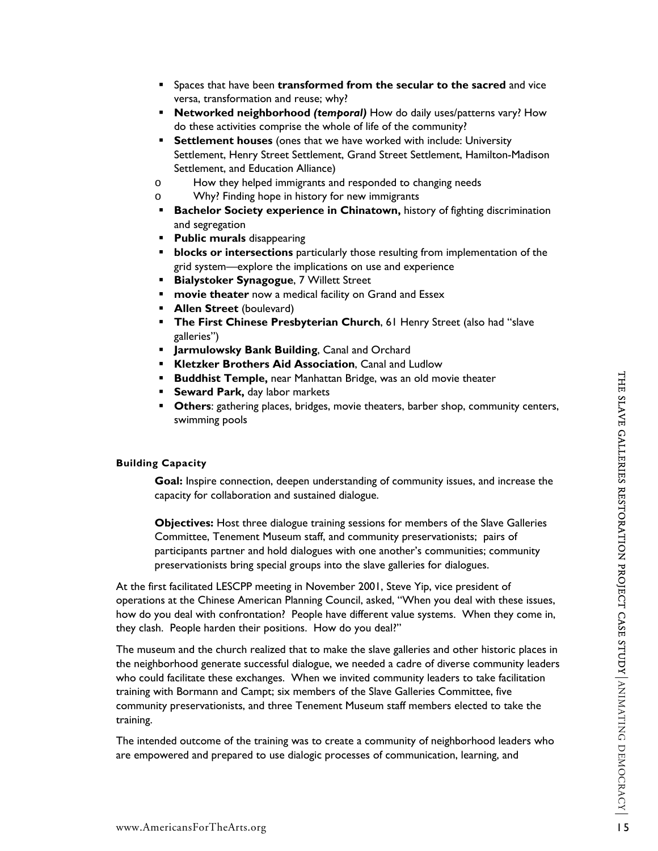- **Spaces that have been transformed from the secular to the sacred** and vice versa, transformation and reuse; why?
- **Networked neighborhood** *(temporal)* How do daily uses/patterns vary? How do these activities comprise the whole of life of the community?
- **Settlement houses** (ones that we have worked with include: University Settlement, Henry Street Settlement, Grand Street Settlement, Hamilton-Madison Settlement, and Education Alliance)
- o How they helped immigrants and responded to changing needs
- o Why? Finding hope in history for new immigrants
- **Bachelor Society experience in Chinatown, history of fighting discrimination** and segregation
- **Public murals** disappearing
- **blocks or intersections** particularly those resulting from implementation of the grid system—explore the implications on use and experience
- **Bialystoker Synagogue**, 7 Willett Street
- **movie theater** now a medical facility on Grand and Essex
- **Allen Street** (boulevard)
- **The First Chinese Presbyterian Church**, 61 Henry Street (also had "slave galleries")
- **Jarmulowsky Bank Building**, Canal and Orchard
- **Kletzker Brothers Aid Association**, Canal and Ludlow
- **Buddhist Temple, near Manhattan Bridge, was an old movie theater**
- **Seward Park, day labor markets**
- **Others**: gathering places, bridges, movie theaters, barber shop, community centers, swimming pools

### **Building Capacity**

**Goal:** Inspire connection, deepen understanding of community issues, and increase the capacity for collaboration and sustained dialogue.

**Objectives:** Host three dialogue training sessions for members of the Slave Galleries Committee, Tenement Museum staff, and community preservationists; pairs of participants partner and hold dialogues with one another's communities; community preservationists bring special groups into the slave galleries for dialogues.

At the first facilitated LESCPP meeting in November 2001, Steve Yip, vice president of operations at the Chinese American Planning Council, asked, "When you deal with these issues, how do you deal with confrontation? People have different value systems. When they come in, they clash. People harden their positions. How do you deal?"

**Example the net Material Bridge, was an old movie theater<br>
Seward Park, day labor markets<br>
Cothers: gathering places, bridges, movie theaters, barber shop, community centers,<br>
swimming pools<br>
Building Capacity<br>
Coal: hasp** The museum and the church realized that to make the slave galleries and other historic places in the neighborhood generate successful dialogue, we needed a cadre of diverse community leaders who could facilitate these exchanges. When we invited community leaders to take facilitation training with Bormann and Campt; six members of the Slave Galleries Committee, five community preservationists, and three Tenement Museum staff members elected to take the training.

The intended outcome of the training was to create a community of neighborhood leaders who are empowered and prepared to use dialogic processes of communication, learning, and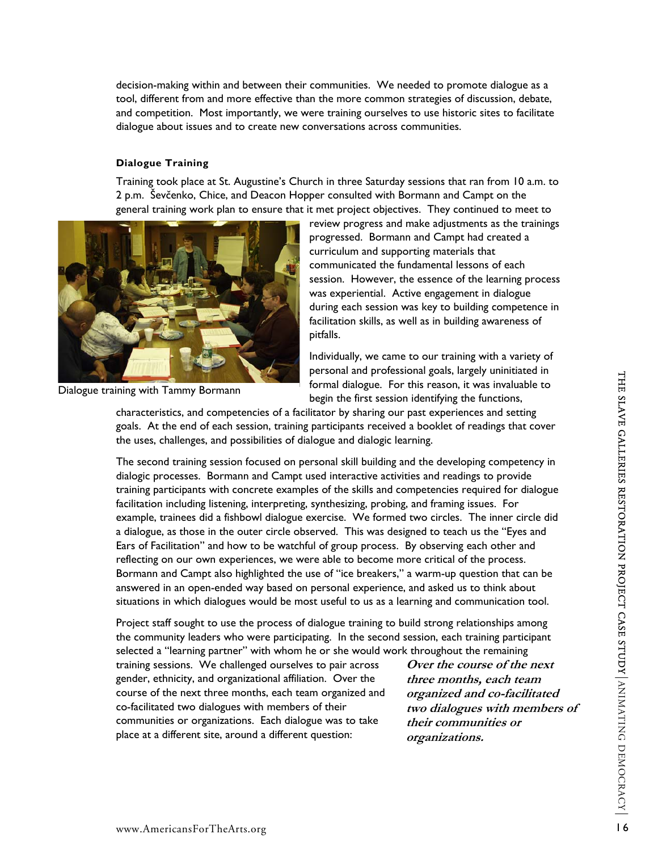decision-making within and between their communities. We needed to promote dialogue as a tool, different from and more effective than the more common strategies of discussion, debate, and competition. Most importantly, we were training ourselves to use historic sites to facilitate dialogue about issues and to create new conversations across communities.

# **Dialogue Training**

Training took place at St. Augustine's Church in three Saturday sessions that ran from 10 a.m. to 2 p.m. Ševčenko, Chice, and Deacon Hopper consulted with Bormann and Campt on the general training work plan to ensure that it met project objectives. They continued to meet to



Dialogue training with Tammy Bormann

review progress and make adjustments as the trainings progressed. Bormann and Campt had created a curriculum and supporting materials that communicated the fundamental lessons of each session. However, the essence of the learning process was experiential. Active engagement in dialogue during each session was key to building competence in facilitation skills, as well as in building awareness of pitfalls.

Individually, we came to our training with a variety of personal and professional goals, largely uninitiated in formal dialogue. For this reason, it was invaluable to begin the first session identifying the functions,

characteristics, and competencies of a facilitator by sharing our past experiences and setting goals. At the end of each session, training participants received a booklet of readings that cover the uses, challenges, and possibilities of dialogue and dialogic learning.

ining with Tammy Bormann Formann to protession identifying the strates. And completencies of a facilitator by sharing our past experiences and setting<br>cost. A the end of each estino, training participants received a bookle The second training session focused on personal skill building and the developing competency in dialogic processes. Bormann and Campt used interactive activities and readings to provide training participants with concrete examples of the skills and competencies required for dialogue facilitation including listening, interpreting, synthesizing, probing, and framing issues. For example, trainees did a fishbowl dialogue exercise. We formed two circles. The inner circle did a dialogue, as those in the outer circle observed. This was designed to teach us the "Eyes and Ears of Facilitation" and how to be watchful of group process. By observing each other and reflecting on our own experiences, we were able to become more critical of the process. Bormann and Campt also highlighted the use of "ice breakers," a warm-up question that can be answered in an open-ended way based on personal experience, and asked us to think about situations in which dialogues would be most useful to us as a learning and communication tool.

Project staff sought to use the process of dialogue training to build strong relationships among the community leaders who were participating. In the second session, each training participant selected a "learning partner" with whom he or she would work throughout the remaining

training sessions. We challenged ourselves to pair across gender, ethnicity, and organizational affiliation. Over the course of the next three months, each team organized and co-facilitated two dialogues with members of their communities or organizations. Each dialogue was to take place at a different site, around a different question:

**Over the course of the next three months, each team organized and co-facilitated two dialogues with members of their communities or organizations.**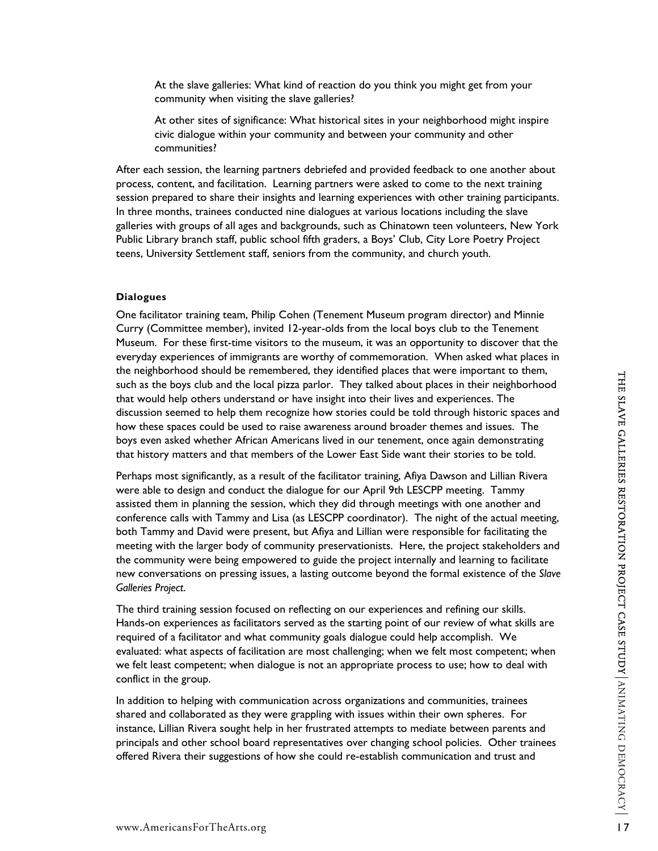At the slave galleries: What kind of reaction do you think you might get from your community when visiting the slave galleries?

At other sites of significance: What historical sites in your neighborhood might inspire civic dialogue within your community and between your community and other communities?

After each session, the learning partners debriefed and provided feedback to one another about process, content, and facilitation. Learning partners were asked to come to the next training session prepared to share their insights and learning experiences with other training participants. In three months, trainees conducted nine dialogues at various locations including the slave galleries with groups of all ages and backgrounds, such as Chinatown teen volunteers, New York Public Library branch staff, public school fifth graders, a Boys' Club, City Lore Poetry Project teens, University Settlement staff, seniors from the community, and church youth.

# **Dialogues**

One facilitator training team, Philip Cohen (Tenement Museum program director) and Minnie Curry (Committee member), invited 12-year-olds from the local boys club to the Tenement Museum. For these first-time visitors to the museum, it was an opportunity to discover that the everyday experiences of immigrants are worthy of commemoration. When asked what places in the neighborhood should be remembered, they identified places that were important to them, such as the boys club and the local pizza parlor. They talked about places in their neighborhood that would help others understand or have insight into their lives and experiences. The discussion seemed to help them recognize how stories could be told through historic spaces and how these spaces could be used to raise awareness around broader themes and issues. The boys even asked whether African Americans lived in our tenement, once again demonstrating that history matters and that members of the Lower East Side want their stories to be told.

where words stock of the local principals and we environment to their energy of the stock of the stock of the stock of the stock of the stock of the stock of the stock of the stock of the stock of the discussion seemed to Perhaps most significantly, as a result of the facilitator training, Afiya Dawson and Lillian Rivera were able to design and conduct the dialogue for our April 9th LESCPP meeting. Tammy assisted them in planning the session, which they did through meetings with one another and conference calls with Tammy and Lisa (as LESCPP coordinator). The night of the actual meeting, both Tammy and David were present, but Afiya and Lillian were responsible for facilitating the meeting with the larger body of community preservationists. Here, the project stakeholders and the community were being empowered to guide the project internally and learning to facilitate new conversations on pressing issues, a lasting outcome beyond the formal existence of the *Slave Galleries Project*.

The third training session focused on reflecting on our experiences and refining our skills. Hands-on experiences as facilitators served as the starting point of our review of what skills are required of a facilitator and what community goals dialogue could help accomplish. We evaluated: what aspects of facilitation are most challenging; when we felt most competent; when we felt least competent; when dialogue is not an appropriate process to use; how to deal with conflict in the group.

In addition to helping with communication across organizations and communities, trainees shared and collaborated as they were grappling with issues within their own spheres. For instance, Lillian Rivera sought help in her frustrated attempts to mediate between parents and principals and other school board representatives over changing school policies. Other trainees offered Rivera their suggestions of how she could re-establish communication and trust and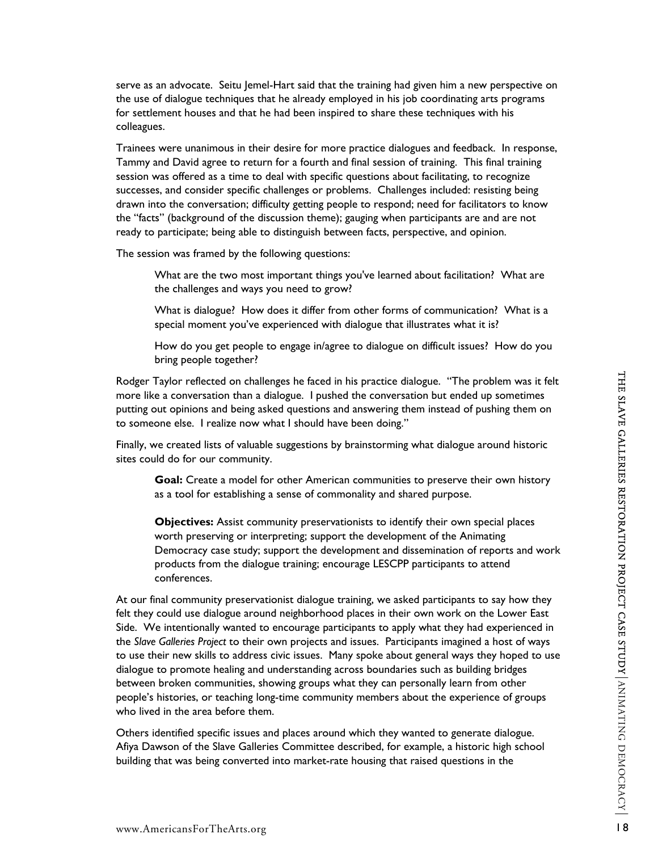serve as an advocate. Seitu Jemel-Hart said that the training had given him a new perspective on the use of dialogue techniques that he already employed in his job coordinating arts programs for settlement houses and that he had been inspired to share these techniques with his colleagues.

Trainees were unanimous in their desire for more practice dialogues and feedback. In response, Tammy and David agree to return for a fourth and final session of training. This final training session was offered as a time to deal with specific questions about facilitating, to recognize successes, and consider specific challenges or problems. Challenges included: resisting being drawn into the conversation; difficulty getting people to respond; need for facilitators to know the "facts" (background of the discussion theme); gauging when participants are and are not ready to participate; being able to distinguish between facts, perspective, and opinion.

The session was framed by the following questions:

What are the two most important things you've learned about facilitation? What are the challenges and ways you need to grow?

What is dialogue? How does it differ from other forms of communication? What is a special moment you've experienced with dialogue that illustrates what it is?

How do you get people to engage in/agree to dialogue on difficult issues? How do you bring people together?

Rodger Taylor reflected on challenges he faced in his practice dialogue. "The problem was it felt more like a conversation than a dialogue. I pushed the conversation but ended up sometimes putting out opinions and being asked questions and answering them instead of pushing them on to someone else. I realize now what I should have been doing."

Finally, we created lists of valuable suggestions by brainstorming what dialogue around historic sites could do for our community.

**Goal:** Create a model for other American communities to preserve their own history as a tool for establishing a sense of commonality and shared purpose.

**Objectives:** Assist community preservationists to identify their own special places worth preserving or interpreting; support the development of the Animating Democracy case study; support the development and dissemination of reports and work products from the dialogue training; encourage LESCPP participants to attend conferences.

Rodger Taylor reflected on challenges he faced in his practice dialogue. "The problem was it felt<br>more like a conversation than a dialogue. I pushed the conversation but earded up sometimes<br>putting out cophions and being s At our final community preservationist dialogue training, we asked participants to say how they felt they could use dialogue around neighborhood places in their own work on the Lower East Side. We intentionally wanted to encourage participants to apply what they had experienced in the *Slave Galleries Project* to their own projects and issues. Participants imagined a host of ways to use their new skills to address civic issues. Many spoke about general ways they hoped to use dialogue to promote healing and understanding across boundaries such as building bridges between broken communities, showing groups what they can personally learn from other people's histories, or teaching long-time community members about the experience of groups who lived in the area before them.

Others identified specific issues and places around which they wanted to generate dialogue. Afiya Dawson of the Slave Galleries Committee described, for example, a historic high school building that was being converted into market-rate housing that raised questions in the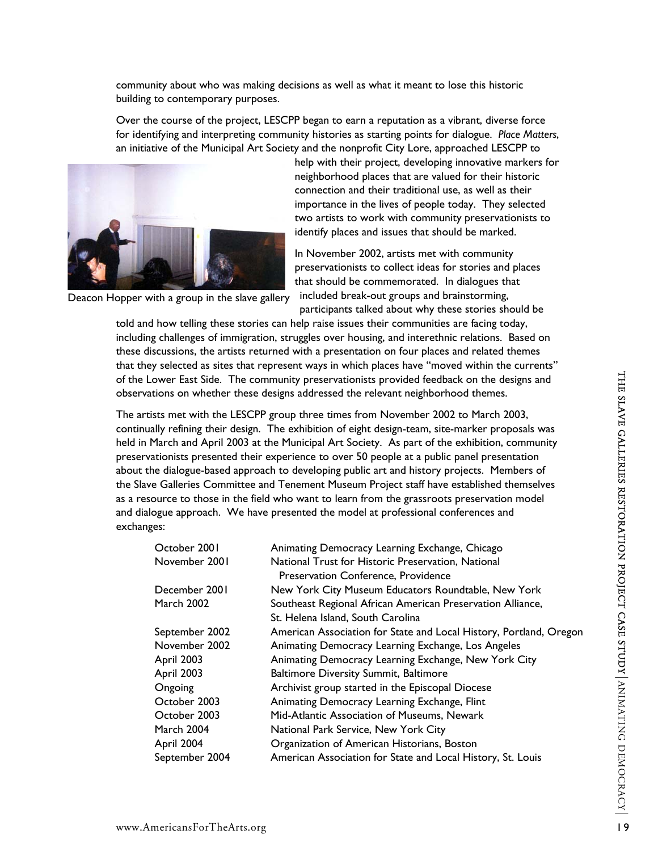community about who was making decisions as well as what it meant to lose this historic building to contemporary purposes.

Over the course of the project, LESCPP began to earn a reputation as a vibrant, diverse force for identifying and interpreting community histories as starting points for dialogue. *Place Matters*, an initiative of the Municipal Art Society and the nonprofit City Lore, approached LESCPP to



help with their project, developing innovative markers for neighborhood places that are valued for their historic connection and their traditional use, as well as their importance in the lives of people today. They selected two artists to work with community preservationists to identify places and issues that should be marked.

In November 2002, artists met with community preservationists to collect ideas for stories and places that should be commemorated. In dialogues that included break-out groups and brainstorming, participants talked about why these stories should be

Deacon Hopper with a group in the slave gallery

told and how telling these stories can help raise issues their communities are facing today, including challenges of immigration, struggles over housing, and interethnic relations. Based on these discussions, the artists returned with a presentation on four places and related themes that they selected as sites that represent ways in which places have "moved within the currents" of the Lower East Side. The community preservationists provided feedback on the designs and observations on whether these designs addressed the relevant neighborhood themes.

| of the Lower East Side. The community preservationists provided feedback on the designs and<br>observations on whether these designs addressed the relevant neighborhood themes. |                |                                                                                                                                                                                                                                                                                                                                                                                                                                                                                                                                                                                                                                                                                                                                                                                 |                                                              |
|----------------------------------------------------------------------------------------------------------------------------------------------------------------------------------|----------------|---------------------------------------------------------------------------------------------------------------------------------------------------------------------------------------------------------------------------------------------------------------------------------------------------------------------------------------------------------------------------------------------------------------------------------------------------------------------------------------------------------------------------------------------------------------------------------------------------------------------------------------------------------------------------------------------------------------------------------------------------------------------------------|--------------------------------------------------------------|
| exchanges:                                                                                                                                                                       |                | The artists met with the LESCPP group three times from November 2002 to March 2003,<br>continually refining their design. The exhibition of eight design-team, site-marker proposals was<br>held in March and April 2003 at the Municipal Art Society. As part of the exhibition, community<br>preservationists presented their experience to over 50 people at a public panel presentation<br>about the dialogue-based approach to developing public art and history projects. Members of<br>the Slave Galleries Committee and Tenement Museum Project staff have established themselves<br>as a resource to those in the field who want to learn from the grassroots preservation model<br>and dialogue approach. We have presented the model at professional conferences and | THE SLAVE GALLERIES RESTORATION PROJECT CASE STUDY ANIMATING |
|                                                                                                                                                                                  | October 2001   | Animating Democracy Learning Exchange, Chicago                                                                                                                                                                                                                                                                                                                                                                                                                                                                                                                                                                                                                                                                                                                                  |                                                              |
|                                                                                                                                                                                  | November 2001  | National Trust for Historic Preservation, National<br>Preservation Conference, Providence                                                                                                                                                                                                                                                                                                                                                                                                                                                                                                                                                                                                                                                                                       |                                                              |
|                                                                                                                                                                                  | December 2001  | New York City Museum Educators Roundtable, New York                                                                                                                                                                                                                                                                                                                                                                                                                                                                                                                                                                                                                                                                                                                             |                                                              |
|                                                                                                                                                                                  | March 2002     | Southeast Regional African American Preservation Alliance,<br>St. Helena Island, South Carolina                                                                                                                                                                                                                                                                                                                                                                                                                                                                                                                                                                                                                                                                                 |                                                              |
|                                                                                                                                                                                  | September 2002 | American Association for State and Local History, Portland, Oregon                                                                                                                                                                                                                                                                                                                                                                                                                                                                                                                                                                                                                                                                                                              |                                                              |
|                                                                                                                                                                                  | November 2002  | Animating Democracy Learning Exchange, Los Angeles                                                                                                                                                                                                                                                                                                                                                                                                                                                                                                                                                                                                                                                                                                                              |                                                              |
|                                                                                                                                                                                  | April 2003     | Animating Democracy Learning Exchange, New York City                                                                                                                                                                                                                                                                                                                                                                                                                                                                                                                                                                                                                                                                                                                            |                                                              |
|                                                                                                                                                                                  | April 2003     | <b>Baltimore Diversity Summit, Baltimore</b>                                                                                                                                                                                                                                                                                                                                                                                                                                                                                                                                                                                                                                                                                                                                    |                                                              |
|                                                                                                                                                                                  | Ongoing        | Archivist group started in the Episcopal Diocese                                                                                                                                                                                                                                                                                                                                                                                                                                                                                                                                                                                                                                                                                                                                |                                                              |
|                                                                                                                                                                                  | October 2003   | Animating Democracy Learning Exchange, Flint                                                                                                                                                                                                                                                                                                                                                                                                                                                                                                                                                                                                                                                                                                                                    |                                                              |
|                                                                                                                                                                                  | October 2003   | Mid-Atlantic Association of Museums, Newark                                                                                                                                                                                                                                                                                                                                                                                                                                                                                                                                                                                                                                                                                                                                     |                                                              |
|                                                                                                                                                                                  | March 2004     | National Park Service, New York City                                                                                                                                                                                                                                                                                                                                                                                                                                                                                                                                                                                                                                                                                                                                            |                                                              |
|                                                                                                                                                                                  | April 2004     | Organization of American Historians, Boston                                                                                                                                                                                                                                                                                                                                                                                                                                                                                                                                                                                                                                                                                                                                     |                                                              |
|                                                                                                                                                                                  | September 2004 | American Association for State and Local History, St. Louis                                                                                                                                                                                                                                                                                                                                                                                                                                                                                                                                                                                                                                                                                                                     |                                                              |
|                                                                                                                                                                                  |                |                                                                                                                                                                                                                                                                                                                                                                                                                                                                                                                                                                                                                                                                                                                                                                                 | DEMOCRACY                                                    |
| www.AmericansForTheArts.org                                                                                                                                                      |                |                                                                                                                                                                                                                                                                                                                                                                                                                                                                                                                                                                                                                                                                                                                                                                                 | 9                                                            |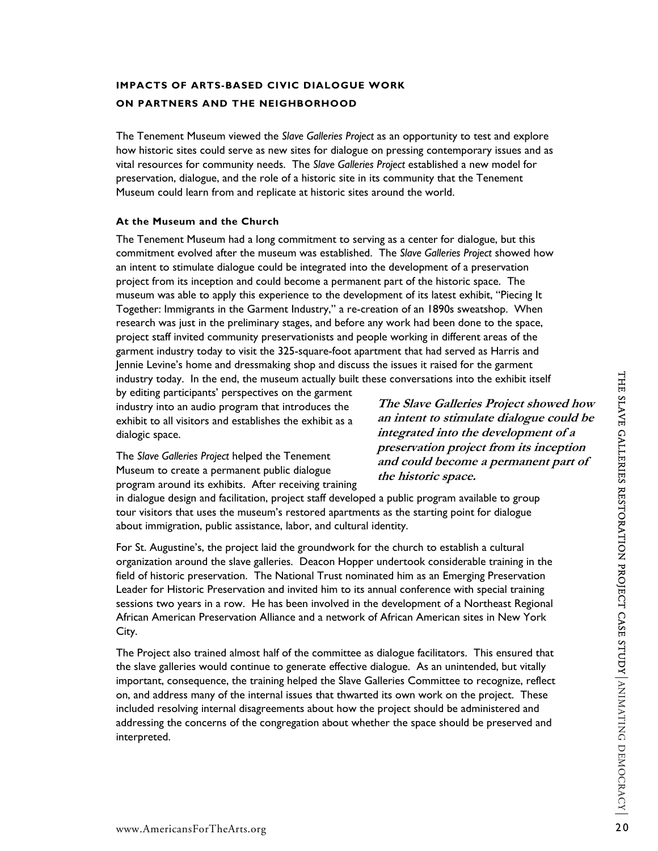# **IMPACTS OF ARTS-BASED CIVIC DIALOGUE WORK ON PARTNERS AND THE NEIGHBORHOOD**

The Tenement Museum viewed the *Slave Galleries Project* as an opportunity to test and explore how historic sites could serve as new sites for dialogue on pressing contemporary issues and as vital resources for community needs. The *Slave Galleries Project* established a new model for preservation, dialogue, and the role of a historic site in its community that the Tenement Museum could learn from and replicate at historic sites around the world.

# **At the Museum and the Church**

The Tenement Museum had a long commitment to serving as a center for dialogue, but this commitment evolved after the museum was established. The *Slave Galleries Project* showed how an intent to stimulate dialogue could be integrated into the development of a preservation project from its inception and could become a permanent part of the historic space. The museum was able to apply this experience to the development of its latest exhibit, "Piecing It Together: Immigrants in the Garment Industry," a re-creation of an 1890s sweatshop. When research was just in the preliminary stages, and before any work had been done to the space, project staff invited community preservationists and people working in different areas of the garment industry today to visit the 325-square-foot apartment that had served as Harris and Jennie Levine's home and dressmaking shop and discuss the issues it raised for the garment industry today. In the end, the museum actually built these conversations into the exhibit itself

by editing participants' perspectives on the garment industry into an audio program that introduces the exhibit to all visitors and establishes the exhibit as a dialogic space.

The *Slave Galleries Project* helped the Tenement Museum to create a permanent public dialogue program around its exhibits. After receiving training

**The Slave Galleries Project showed how an intent to stimulate dialogue could be integrated into the development of a preservation project from its inception and could become a permanent part of the historic space.** 

in dialogue design and facilitation, project staff developed a public program available to group tour visitors that uses the museum's restored apartments as the starting point for dialogue about immigration, public assistance, labor, and cultural identity.

industry tody. In the end, the moustary built these conversations into the exhibit itself<br>industry into an audio program that throduces the<br>minutar of interactions and the exhibit as a minitent to stimulate dialogue could For St. Augustine's, the project laid the groundwork for the church to establish a cultural organization around the slave galleries. Deacon Hopper undertook considerable training in the field of historic preservation. The National Trust nominated him as an Emerging Preservation Leader for Historic Preservation and invited him to its annual conference with special training sessions two years in a row. He has been involved in the development of a Northeast Regional African American Preservation Alliance and a network of African American sites in New York City.

The Project also trained almost half of the committee as dialogue facilitators. This ensured that the slave galleries would continue to generate effective dialogue. As an unintended, but vitally important, consequence, the training helped the Slave Galleries Committee to recognize, reflect on, and address many of the internal issues that thwarted its own work on the project. These included resolving internal disagreements about how the project should be administered and addressing the concerns of the congregation about whether the space should be preserved and interpreted.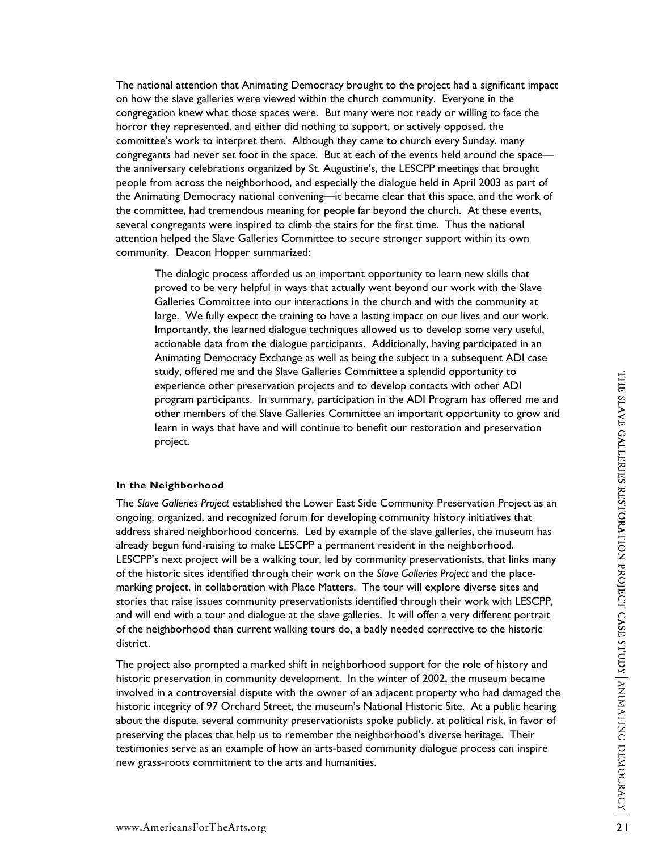The national attention that Animating Democracy brought to the project had a significant impact on how the slave galleries were viewed within the church community. Everyone in the congregation knew what those spaces were. But many were not ready or willing to face the horror they represented, and either did nothing to support, or actively opposed, the committee's work to interpret them. Although they came to church every Sunday, many congregants had never set foot in the space. But at each of the events held around the space the anniversary celebrations organized by St. Augustine's, the LESCPP meetings that brought people from across the neighborhood, and especially the dialogue held in April 2003 as part of the Animating Democracy national convening—it became clear that this space, and the work of the committee, had tremendous meaning for people far beyond the church. At these events, several congregants were inspired to climb the stairs for the first time. Thus the national attention helped the Slave Galleries Committee to secure stronger support within its own community. Deacon Hopper summarized:

The dialogic process afforded us an important opportunity to learn new skills that proved to be very helpful in ways that actually went beyond our work with the Slave Galleries Committee into our interactions in the church and with the community at large. We fully expect the training to have a lasting impact on our lives and our work. Importantly, the learned dialogue techniques allowed us to develop some very useful, actionable data from the dialogue participants. Additionally, having participated in an Animating Democracy Exchange as well as being the subject in a subsequent ADI case study, offered me and the Slave Galleries Committee a splendid opportunity to experience other preservation projects and to develop contacts with other ADI program participants. In summary, participation in the ADI Program has offered me and other members of the Slave Galleries Committee an important opportunity to grow and learn in ways that have and will continue to benefit our restoration and preservation project.

### **In the Neighborhood**

stowy, oriered me and the sate comparison of the ADI Program participation in the ADI Program participation in the ADI Program participation in the ADI Program participation in the ADI Program participation in the ADI Prog The *Slave Galleries Project* established the Lower East Side Community Preservation Project as an ongoing, organized, and recognized forum for developing community history initiatives that address shared neighborhood concerns. Led by example of the slave galleries, the museum has already begun fund-raising to make LESCPP a permanent resident in the neighborhood. LESCPP's next project will be a walking tour, led by community preservationists, that links many of the historic sites identified through their work on the *Slave Galleries Project* and the placemarking project, in collaboration with Place Matters. The tour will explore diverse sites and stories that raise issues community preservationists identified through their work with LESCPP, and will end with a tour and dialogue at the slave galleries. It will offer a very different portrait of the neighborhood than current walking tours do, a badly needed corrective to the historic district.

The project also prompted a marked shift in neighborhood support for the role of history and historic preservation in community development. In the winter of 2002, the museum became involved in a controversial dispute with the owner of an adjacent property who had damaged the historic integrity of 97 Orchard Street, the museum's National Historic Site. At a public hearing about the dispute, several community preservationists spoke publicly, at political risk, in favor of preserving the places that help us to remember the neighborhood's diverse heritage. Their testimonies serve as an example of how an arts-based community dialogue process can inspire new grass-roots commitment to the arts and humanities.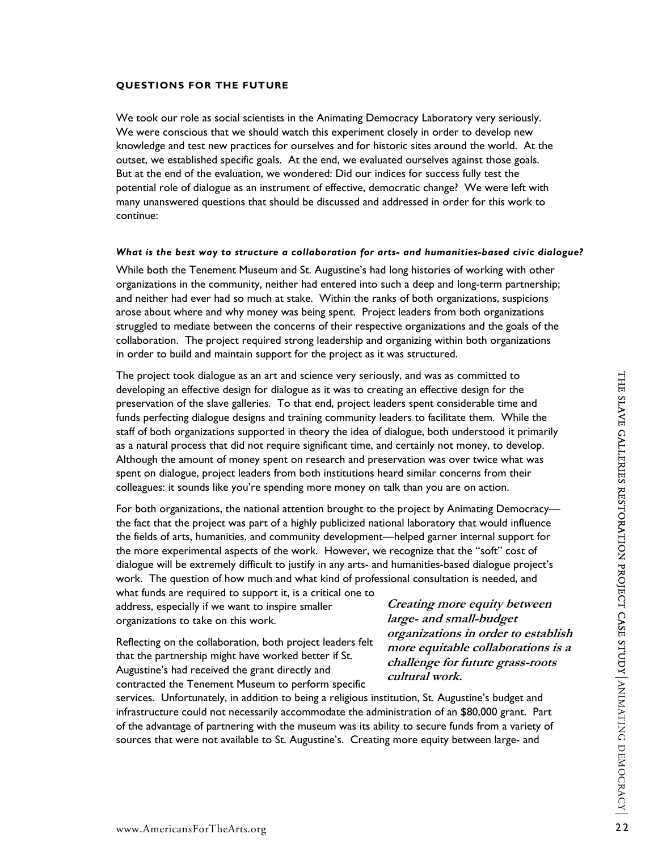# **QUESTIONS FOR THE FUTURE**

We took our role as social scientists in the Animating Democracy Laboratory very seriously. We were conscious that we should watch this experiment closely in order to develop new knowledge and test new practices for ourselves and for historic sites around the world. At the outset, we established specific goals. At the end, we evaluated ourselves against those goals. But at the end of the evaluation, we wondered: Did our indices for success fully test the potential role of dialogue as an instrument of effective, democratic change? We were left with many unanswered questions that should be discussed and addressed in order for this work to continue:

### *What is the best way to structure a collaboration for arts- and humanities-based civic dialogue?*

While both the Tenement Museum and St. Augustine's had long histories of working with other organizations in the community, neither had entered into such a deep and long-term partnership; and neither had ever had so much at stake. Within the ranks of both organizations, suspicions arose about where and why money was being spent. Project leaders from both organizations struggled to mediate between the concerns of their respective organizations and the goals of the collaboration. The project required strong leadership and organizing within both organizations in order to build and maintain support for the project as it was structured.

The project took dialogue as an art and science by seriously, and was as committed to<br>preservation of the slave galiteries. To that end, project leaders per to considerable time and<br>times perfecting dialogue designs and t The project took dialogue as an art and science very seriously, and was as committed to developing an effective design for dialogue as it was to creating an effective design for the preservation of the slave galleries. To that end, project leaders spent considerable time and funds perfecting dialogue designs and training community leaders to facilitate them. While the staff of both organizations supported in theory the idea of dialogue, both understood it primarily as a natural process that did not require significant time, and certainly not money, to develop. Although the amount of money spent on research and preservation was over twice what was spent on dialogue, project leaders from both institutions heard similar concerns from their colleagues: it sounds like you're spending more money on talk than you are on action.

For both organizations, the national attention brought to the project by Animating Democracy the fact that the project was part of a highly publicized national laboratory that would influence the fields of arts, humanities, and community development—helped garner internal support for the more experimental aspects of the work. However, we recognize that the "soft" cost of dialogue will be extremely difficult to justify in any arts- and humanities-based dialogue project's work. The question of how much and what kind of professional consultation is needed, and

what funds are required to support it, is a critical one to address, especially if we want to inspire smaller organizations to take on this work.

Reflecting on the collaboration, both project leaders felt that the partnership might have worked better if St. Augustine's had received the grant directly and contracted the Tenement Museum to perform specific

**Creating more equity between large- and small-budget organizations in order to establish more equitable collaborations is a challenge for future grass-roots cultural work.** 

services. Unfortunately, in addition to being a religious institution, St. Augustine's budget and infrastructure could not necessarily accommodate the administration of an \$80,000 grant. Part of the advantage of partnering with the museum was its ability to secure funds from a variety of sources that were not available to St. Augustine's. Creating more equity between large- and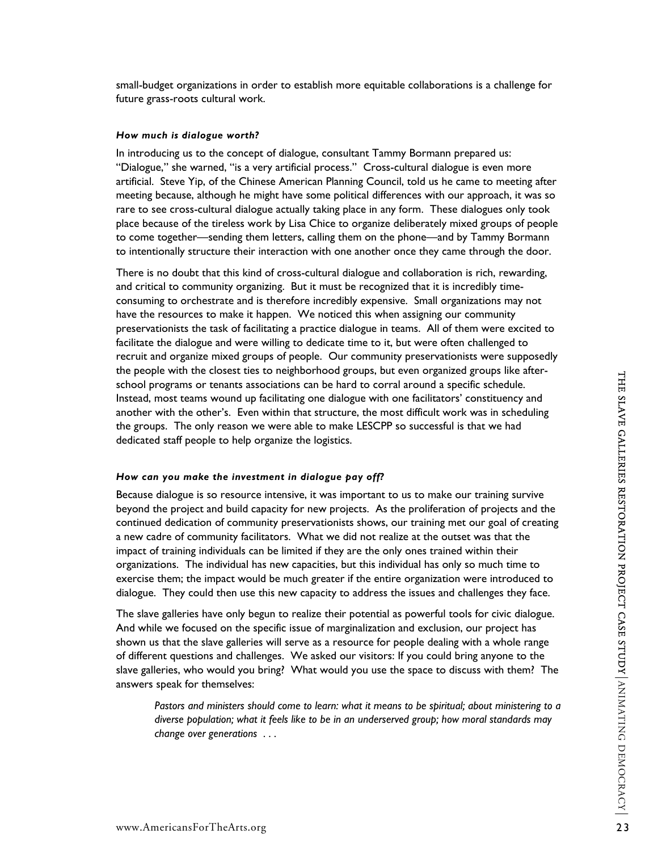small-budget organizations in order to establish more equitable collaborations is a challenge for future grass-roots cultural work.

#### *How much is dialogue worth?*

In introducing us to the concept of dialogue, consultant Tammy Bormann prepared us: "Dialogue," she warned, "is a very artificial process." Cross-cultural dialogue is even more artificial. Steve Yip, of the Chinese American Planning Council, told us he came to meeting after meeting because, although he might have some political differences with our approach, it was so rare to see cross-cultural dialogue actually taking place in any form. These dialogues only took place because of the tireless work by Lisa Chice to organize deliberately mixed groups of people to come together—sending them letters, calling them on the phone—and by Tammy Bormann to intentionally structure their interaction with one another once they came through the door.

There is no doubt that this kind of cross-cultural dialogue and collaboration is rich, rewarding, and critical to community organizing. But it must be recognized that it is incredibly timeconsuming to orchestrate and is therefore incredibly expensive. Small organizations may not have the resources to make it happen. We noticed this when assigning our community preservationists the task of facilitating a practice dialogue in teams. All of them were excited to facilitate the dialogue and were willing to dedicate time to it, but were often challenged to recruit and organize mixed groups of people. Our community preservationists were supposedly the people with the closest ties to neighborhood groups, but even organized groups like afterschool programs or tenants associations can be hard to corral around a specific schedule. Instead, most teams wound up facilitating one dialogue with one facilitators' constituency and another with the other's. Even within that structure, the most difficult work was in scheduling the groups. The only reason we were able to make LESCPP so successful is that we had dedicated staff people to help organize the logistics.

#### *How can you make the investment in dialogue pay off?*

we would be the state we gale the state of the state of the state of the state of the state. This has the state of the state of the state of the state of the state of the state of the state of the state of the state is so Because dialogue is so resource intensive, it was important to us to make our training survive beyond the project and build capacity for new projects. As the proliferation of projects and the continued dedication of community preservationists shows, our training met our goal of creating a new cadre of community facilitators. What we did not realize at the outset was that the impact of training individuals can be limited if they are the only ones trained within their organizations. The individual has new capacities, but this individual has only so much time to exercise them; the impact would be much greater if the entire organization were introduced to dialogue. They could then use this new capacity to address the issues and challenges they face.

The slave galleries have only begun to realize their potential as powerful tools for civic dialogue. And while we focused on the specific issue of marginalization and exclusion, our project has shown us that the slave galleries will serve as a resource for people dealing with a whole range of different questions and challenges. We asked our visitors: If you could bring anyone to the slave galleries, who would you bring? What would you use the space to discuss with them? The answers speak for themselves:

*Pastors and ministers should come to learn: what it means to be spiritual; about ministering to a diverse population; what it feels like to be in an underserved group; how moral standards may change over generations . . .*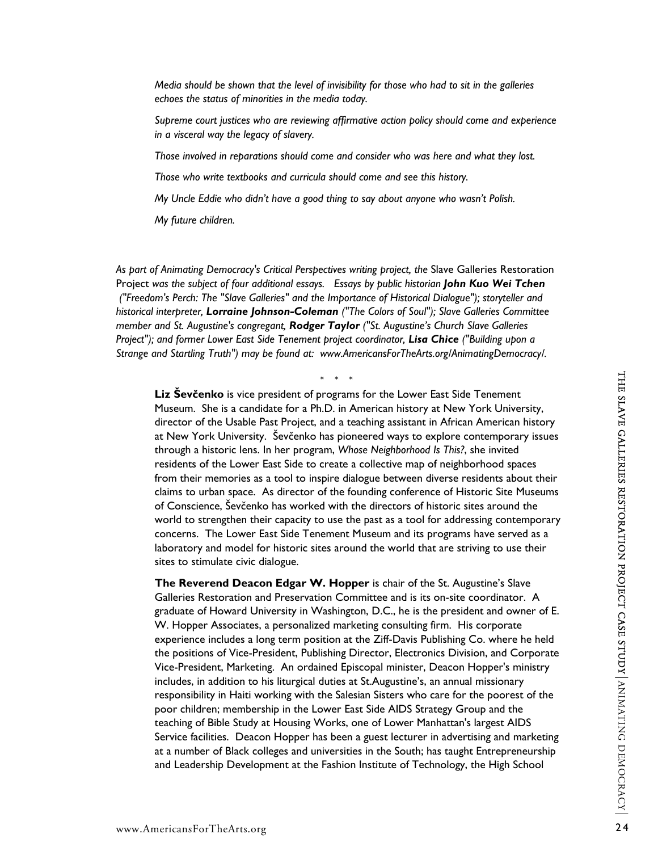*Media should be shown that the level of invisibility for those who had to sit in the galleries echoes the status of minorities in the media today.* 

*Supreme court justices who are reviewing affirmative action policy should come and experience in a visceral way the legacy of slavery.* 

*Those involved in reparations should come and consider who was here and what they lost.* 

*Those who write textbooks and curricula should come and see this history.* 

*My Uncle Eddie who didn't have a good thing to say about anyone who wasn't Polish.* 

*My future children.* 

As part of Animating Democracy's Critical Perspectives writing project, the Slave Galleries Restoration Project *was the subject of four additional essays. Essays by public historian John Kuo Wei Tchen ("Freedom's Perch: The "Slave Galleries" and the Importance of Historical Dialogue"); storyteller and historical interpreter, Lorraine Johnson-Coleman ("The Colors of Soul"); Slave Galleries Committee member and St. Augustine's congregant, Rodger Taylor ("St. Augustine's Church Slave Galleries Project"); and former Lower East Side Tenement project coordinator, Lisa Chice ("Building upon a Strange and Startling Truth") may be found at: www.AmericansForTheArts.org/AnimatingDemocracy/.* 

\* \* \*

**Liz Ševčenko** is vice president of programs for the Lower East Side Tenement Museum. She is a candidate for a Ph.D. in American history at New York University, director of the Usable Past Project, and a teaching assistant in African American history at New York University. Ševčenko has pioneered ways to explore contemporary issues through a historic lens. In her program, *Whose Neighborhood Is This?*, she invited residents of the Lower East Side to create a collective map of neighborhood spaces from their memories as a tool to inspire dialogue between diverse residents about their claims to urban space. As director of the founding conference of Historic Site Museums of Conscience, Ševčenko has worked with the directors of historic sites around the world to strengthen their capacity to use the past as a tool for addressing contemporary concerns. The Lower East Side Tenement Museum and its programs have served as a laboratory and model for historic sites around the world that are striving to use their sites to stimulate civic dialogue.

Liz Seveenko is vice president of programs for the Lower East Side Tenement<br>
Museum. She is a candidate for a Ph.D. in American Mistory at New York University,<br>
director of the Usable Past Project, and a teaching assistant **The Reverend Deacon Edgar W. Hopper** is chair of the St. Augustine's Slave Galleries Restoration and Preservation Committee and is its on-site coordinator. A graduate of Howard University in Washington, D.C., he is the president and owner of E. W. Hopper Associates, a personalized marketing consulting firm. His corporate experience includes a long term position at the Ziff-Davis Publishing Co. where he held the positions of Vice-President, Publishing Director, Electronics Division, and Corporate Vice-President, Marketing. An ordained Episcopal minister, Deacon Hopper's ministry includes, in addition to his liturgical duties at St.Augustine's, an annual missionary responsibility in Haiti working with the Salesian Sisters who care for the poorest of the poor children; membership in the Lower East Side AIDS Strategy Group and the teaching of Bible Study at Housing Works, one of Lower Manhattan's largest AIDS Service facilities. Deacon Hopper has been a guest lecturer in advertising and marketing at a number of Black colleges and universities in the South; has taught Entrepreneurship and Leadership Development at the Fashion Institute of Technology, the High School